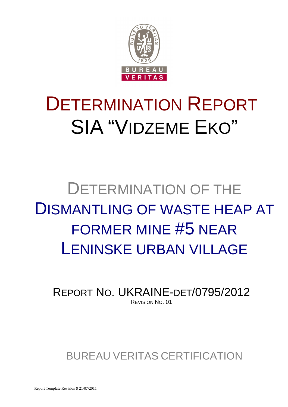

# DETERMINATION REPORT SIA "VIDZEME EKO"

# DETERMINATION OF THE DISMANTLING OF WASTE HEAP AT FORMER MINE #5 NEAR LENINSKE URBAN VILLAGE

REPORT NO. UKRAINE-DET/0795/2012 REVISION NO. 01

BUREAU VERITAS CERTIFICATION

Report Template Revision 9 21/07/2011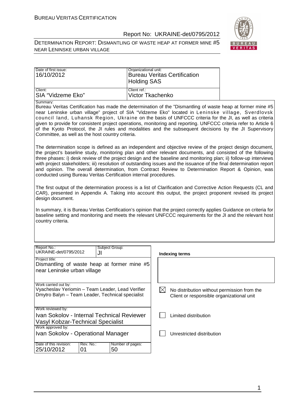

DETERMINATION REPORT: DISMANTLING OF WASTE HEAP AT FORMER MINE #5 NEAR LENINSKE URBAN VILLAGE

| Date of first issue:<br>16/10/2012 | Organizational unit:<br><b>Bureau Veritas Certification</b><br><b>Holding SAS</b> |
|------------------------------------|-----------------------------------------------------------------------------------|
| Client:                            | l Client ref.:                                                                    |
| ISIA "Vidzeme Eko"                 | Victor Tkachenko                                                                  |

Summary:

Bureau Veritas Certification has made the determination of the "Dismantling of waste heap at former mine #5 near Leninske urban village" project of SIA "Vidzeme Eko" located in Leninske village, Sverdlovsk council land, Luhansk Region, Ukraine on the basis of UNFCCC criteria for the JI, as well as criteria given to provide for consistent project operations, monitoring and reporting. UNFCCC criteria refer to Article 6 of the Kyoto Protocol, the JI rules and modalities and the subsequent decisions by the JI Supervisory Committee, as well as the host country criteria.

The determination scope is defined as an independent and objective review of the project design document, the project's baseline study, monitoring plan and other relevant documents, and consisted of the following three phases: i) desk review of the project design and the baseline and monitoring plan; ii) follow-up interviews with project stakeholders; iii) resolution of outstanding issues and the issuance of the final determination report and opinion. The overall determination, from Contract Review to Determination Report & Opinion, was conducted using Bureau Veritas Certification internal procedures.

The first output of the determination process is a list of Clarification and Corrective Action Requests (CL and CAR), presented in Appendix A. Taking into account this output, the project proponent revised its project design document.

In summary, it is Bureau Veritas Certification's opinion that the project correctly applies Guidance on criteria for baseline setting and monitoring and meets the relevant UNFCCC requirements for the JI and the relevant host country criteria.

| Report No.:<br>UKRAINE-det/0795/2012                                                                                         | JI              | Subject Group:         |  | Indexing terms                                                                           |
|------------------------------------------------------------------------------------------------------------------------------|-----------------|------------------------|--|------------------------------------------------------------------------------------------|
| Project title:<br>Dismantling of waste heap at former mine #5<br>near Leninske urban village                                 |                 |                        |  |                                                                                          |
| Work carried out by:<br>Vyacheslav Yeriomin - Team Leader, Lead Verifier<br>Dmytro Balyn - Team Leader, Technical specialist |                 |                        |  | No distribution without permission from the<br>Client or responsible organizational unit |
| Work reviewed by:<br>Ivan Sokolov - Internal Technical Reviewer<br><b>Vasyl Kobzar-Technical Specialist</b>                  |                 |                        |  | Limited distribution                                                                     |
| Work approved by:<br>Ivan Sokolov - Operational Manager                                                                      |                 |                        |  | Unrestricted distribution                                                                |
| Date of this revision:<br>25/10/2012                                                                                         | Rev. No.:<br>01 | Number of pages:<br>50 |  |                                                                                          |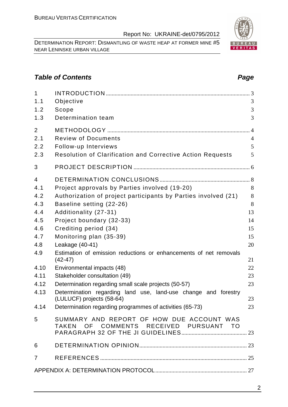DETERMINATION REPORT: DISMANTLING OF WASTE HEAP AT FORMER MINE #5 NEAR LENINSKE URBAN VILLAGE

# **Table of Contents Page 2014**

| $\mathbf{1}$   |                                                                                     |                |
|----------------|-------------------------------------------------------------------------------------|----------------|
| 1.1            | Objective                                                                           | 3              |
| 1.2            | Scope                                                                               | 3              |
| 1.3            | Determination team                                                                  | 3              |
| 2              |                                                                                     | $\Delta$       |
| 2.1            | <b>Review of Documents</b>                                                          | $\overline{4}$ |
| 2.2            | Follow-up Interviews                                                                | 5              |
| 2.3            | <b>Resolution of Clarification and Corrective Action Requests</b>                   | 5              |
| 3              |                                                                                     |                |
| $\overline{4}$ |                                                                                     |                |
| 4.1            | Project approvals by Parties involved (19-20)                                       | 8              |
| 4.2            | Authorization of project participants by Parties involved (21)                      | 8              |
| 4.3            | Baseline setting (22-26)                                                            | 8              |
| 4.4            | Additionality (27-31)                                                               | 13             |
| 4.5            | Project boundary (32-33)                                                            | 14             |
| 4.6            | Crediting period (34)                                                               | 15             |
| 4.7            | Monitoring plan (35-39)                                                             | 15             |
| 4.8            | Leakage (40-41)                                                                     | 20             |
| 4.9            | Estimation of emission reductions or enhancements of net removals<br>$(42-47)$      | 21             |
| 4.10           | Environmental impacts (48)                                                          | 22             |
| 4.11           | Stakeholder consultation (49)                                                       | 23             |
| 4.12           | Determination regarding small scale projects (50-57)                                | 23             |
| 4.13           | Determination regarding land use, land-use change and forestry                      |                |
|                | (LULUCF) projects (58-64)                                                           | 23             |
| 4.14           | Determination regarding programmes of activities (65-73)                            | 23             |
| 5              | SUMMARY AND REPORT OF HOW DUE ACCOUNT WAS<br>TAKEN OF COMMENTS RECEIVED PURSUANT TO |                |
| 6              |                                                                                     |                |
| $\overline{7}$ |                                                                                     |                |
|                |                                                                                     |                |

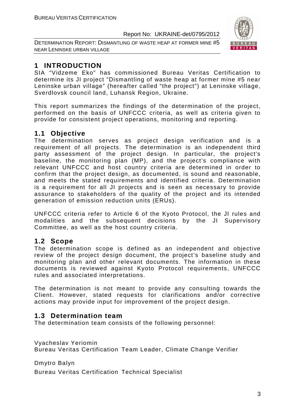DETERMINATION REPORT: DISMANTLING OF WASTE HEAP AT FORMER MINE #5 NEAR LENINSKE URBAN VILLAGE



# **1 INTRODUCTION**

SIA "Vidzeme Eko" has commissioned Bureau Veritas Certification to determine its JI project "Dismantling of waste heap at former mine #5 near Leninske urban village" (hereafter called "the project") at Leninske village, Sverdlovsk council land, Luhansk Region, Ukraine.

This report summarizes the findings of the determination of the project, performed on the basis of UNFCCC criteria, as well as criteria given to provide for consistent project operations, monitoring and reporting.

# **1.1 Objective**

The determination serves as project design verification and is a requirement of all projects. The determination is an independent third party assessment of the project design. In particular, the project's baseline, the monitoring plan (MP), and the project's compliance with relevant UNFCCC and host country criteria are determined in order to confirm that the project design, as documented, is sound and reasonable, and meets the stated requirements and identified criteria. Determination is a requirement for all JI projects and is seen as necessary to provide assurance to stakeholders of the quality of the project and its intended generation of emission reduction units (ERUs).

UNFCCC criteria refer to Article 6 of the Kyoto Protocol, the JI rules and modalities and the subsequent decisions by the JI Supervisory Committee, as well as the host country criteria.

# **1.2 Scope**

The determination scope is defined as an independent and objective review of the project design document, the project's baseline study and monitoring plan and other relevant documents. The information in these documents is reviewed against Kyoto Protocol requirements, UNFCCC rules and associated interpretations.

The determination is not meant to provide any consulting towards the Client. However, stated requests for clarifications and/or corrective actions may provide input for improvement of the project design.

# **1.3 Determination team**

The determination team consists of the following personnel:

Vyacheslav Yeriomin Bureau Veritas Certification Team Leader, Climate Change Verifier

Dmytro Balyn

Bureau Veritas Certification Technical Specialist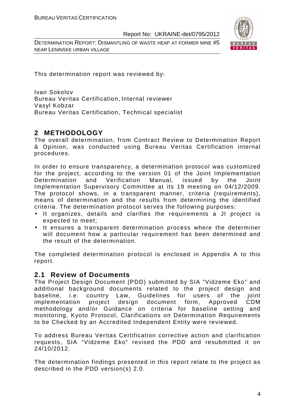DETERMINATION REPORT: DISMANTLING OF WASTE HEAP AT FORMER MINE #5 NEAR LENINSKE URBAN VILLAGE



This determination report was reviewed by:

Ivan Sokolov Bureau Veritas Certification, Internal reviewer Vasyl Kobzar Bureau Veritas Certification, Technical specialist

# **2 METHODOLOGY**

The overall determination, from Contract Review to Determination Report & Opinion, was conducted using Bureau Veritas Certification internal procedures.

In order to ensure transparency, a determination protocol was customized for the project, according to the version 01 of the Joint Implementation Determination and Verification Manual, issued by the Joint Implementation Supervisory Committee at its 19 meeting on 04/12/2009. The protocol shows, in a transparent manner, criteria (requirements), means of determination and the results from determining the identified criteria. The determination protocol serves the following purposes:

- It organizes, details and clarifies the requirements a JI project is expected to meet;
- It ensures a transparent determination process where the determiner will document how a particular requirement has been determined and the result of the determination.

The completed determination protocol is enclosed in Appendix A to this report.

### **2.1 Review of Documents**

The Project Design Document (PDD) submitted by SIA "Vidzeme Eko" and additional background documents related to the project design and baseline, i.e. country Law, Guidelines for users of the joint implementation project design document form, Approved CDM methodology and/or Guidance on criteria for baseline setting and monitoring, Kyoto Protocol, Clarifications on Determination Requirements to be Checked by an Accredited Independent Entity were reviewed.

To address Bureau Veritas Certification corrective action and clarification requests, SIA "Vidzeme Eko" revised the PDD and resubmitted it on 24/10/2012.

The determination findings presented in this report relate to the project as described in the PDD version(s) 2.0.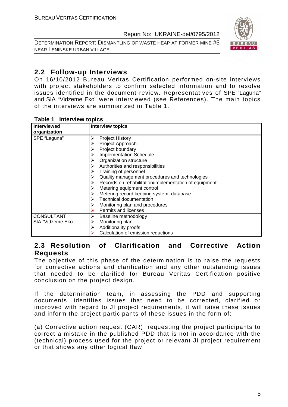DETERMINATION REPORT: DISMANTLING OF WASTE HEAP AT FORMER MINE #5 NEAR LENINSKE URBAN VILLAGE



# **2.2 Follow-up Interviews**

On 16/10/2012 Bureau Veritas Certification performed on-site interviews with project stakeholders to confirm selected information and to resolve issues identified in the document review. Representatives of SPE "Laguna" and SIA "Vidzeme Eko" were interviewed (see References). The main topics of the interviews are summarized in Table 1.

#### **Table 1 Interview topics**

| <b>Interviewed</b> | <b>Interview topics</b>                                    |
|--------------------|------------------------------------------------------------|
| organization       |                                                            |
| SPE "Laguna"       | <b>Project History</b><br>➤                                |
|                    | Project Approach                                           |
|                    | Project boundary<br>⋗                                      |
|                    | Implementation Schedule                                    |
|                    | Organization structure                                     |
|                    | Authorities and responsibilities                           |
|                    | Training of personnel<br>➤                                 |
|                    | Quality management procedures and technologies<br>⋗        |
|                    | Records on rehabilitation/implementation of equipment<br>➤ |
|                    | Metering equipment control                                 |
|                    | Metering record keeping system, database                   |
|                    | Technical documentation                                    |
|                    | Monitoring plan and procedures<br>⋗                        |
|                    | Permits and licenses                                       |
| <b>CONSULTANT</b>  | Baseline methodology<br>➤                                  |
| SIA "Vidzeme Eko"  | Monitoring plan<br>⋗                                       |
|                    | Additionality proofs<br>≻                                  |
|                    | Calculation of emission reductions                         |

### **2.3 Resolution of Clarification and Corrective Action Requests**

The objective of this phase of the determination is to raise the requests for corrective actions and clarification and any other outstanding issues that needed to be clarified for Bureau Veritas Certification positive conclusion on the project design.

If the determination team, in assessing the PDD and supporting documents, identifies issues that need to be corrected, clarified or improved with regard to JI project requirements, it will raise these issues and inform the project participants of these issues in the form of:

(a) Corrective action request (CAR), requesting the project participants to correct a mistake in the published PDD that is not in accordance with the (technical) process used for the project or relevant JI project requirement or that shows any other logical flaw;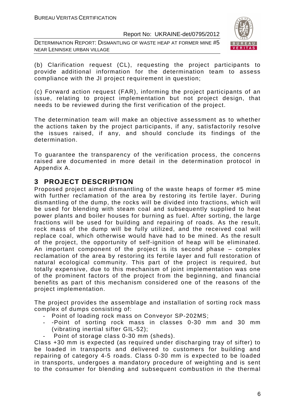DETERMINATION REPORT: DISMANTLING OF WASTE HEAP AT FORMER MINE #5 NEAR LENINSKE URBAN VILLAGE



(b) Clarification request (CL), requesting the project participants to provide additional information for the determination team to assess compliance with the JI project requirement in question;

(c) Forward action request (FAR), informing the project participants of an issue, relating to project implementation but not project design, that needs to be reviewed during the first verification of the project.

The determination team will make an objective assessment as to whether the actions taken by the project participants, if any, satisfactorily resolve the issues raised, if any, and should conclude its findings of the determination.

To guarantee the transparency of the verification process, the concerns raised are documented in more detail in the determination protocol in Appendix A.

# **3 PROJECT DESCRIPTION**

Proposed project aimed dismantling of the waste heaps of former #5 mine with further reclamation of the area by restoring its fertile layer. During dismantling of the dump, the rocks will be divided into fractions, which will be used for blending with steam coal and subsequently supplied to heat power plants and boiler houses for burning as fuel. After sorting, the large fractions will be used for building and repairing of roads. As the result, rock mass of the dump will be fully utilized, and the received coal will replace coal, which otherwise would have had to be mined. As the result of the project, the opportunity of self-ignition of heap will be eliminated. An important component of the project is its second phase – complex reclamation of the area by restoring its fertile layer and full restoration of natural ecological community. This part of the project is required, but totally expensive, due to this mechanism of joint implementation was one of the prominent factors of the project from the beginning, and financial benefits as part of this mechanism considered one of the reasons of the project implementation.

The project provides the assemblage and installation of sorting rock mass complex of dumps consisting of:

- Point of loading rock mass on Conveyor SP-202MS;
- -Point of sorting rock mass in classes 0-30 mm and 30 mm (vibrating inertial sifter GIL-52);
- Point of storage class 0-30 mm (sheds).

Class +30 mm is expected (as required under discharging tray of sifter) to be loaded in transports and delivered to customers for building and repairing of category 4-5 roads. Class 0-30 mm is expected to be loaded in transports, undergoes a mandatory procedure of weighting and is sent to the consumer for blending and subsequent combustion in the thermal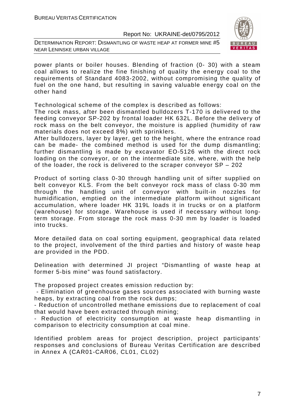DETERMINATION REPORT: DISMANTLING OF WASTE HEAP AT FORMER MINE #5 NEAR LENINSKE URBAN VILLAGE



power plants or boiler houses. Blending of fraction (0- 30) with a steam coal allows to realize the fine finishing of quality the energy coal to the requirements of Standard 4083-2002, without compromising the quality of fuel on the one hand, but resulting in saving valuable energy coal on the other hand

Technological scheme of the complex is described as follows:

The rock mass, after been dismantled bulldozers T-170 is delivered to the feeding conveyor SP-202 by frontal loader HK 632L. Before the delivery of rock mass on the belt conveyor, the moisture is applied (humidity of raw materials does not exceed 8%) with sprinklers.

After bulldozers, layer by layer, get to the height, where the entrance road can be made- the combined method is used for the dump dismantling; further dismantling is made by excavator EO-5126 with the direct rock loading on the conveyor, or on the intermediate site, where, with the help of the loader, the rock is delivered to the scraper conveyor SP – 202

Product of sorting class 0-30 through handling unit of sifter supplied on belt conveyor KLS. From the belt conveyor rock mass of class 0-30 mm through the handling unit of conveyor with built-in nozzles for humidification, emptied on the intermediate platform without significant accumulation, where loader HK 319L loads it in trucks or on a platform (warehouse) for storage. Warehouse is used if necessary without longterm storage. From storage the rock mass 0-30 mm by loader is loaded into trucks.

More detailed data on coal sorting equipment, geographical data related to the project, involvement of the third parties and history of waste heap are provided in the PDD.

Delineation with determined JI project "Dismantling of waste heap at former 5-bis mine" was found satisfactory.

The proposed project creates emission reduction by:

 - Elimination of greenhouse gases sources associated with burning waste heaps, by extracting coal from the rock dumps;

- Reduction of uncontrolled methane emissions due to replacement of coal that would have been extracted through mining;

- Reduction of electricity consumption at waste heap dismantling in comparison to electricity consumption at coal mine.

Identified problem areas for project description, project participants' responses and conclusions of Bureau Veritas Certification are described in Annex A (CAR01-CAR06, CL01, CL02)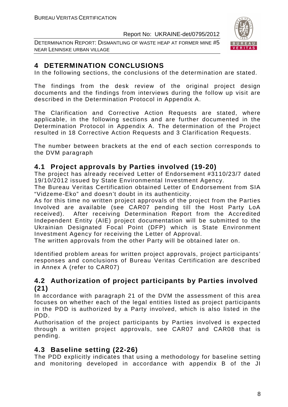DETERMINATION REPORT: DISMANTLING OF WASTE HEAP AT FORMER MINE #5 NEAR LENINSKE URBAN VILLAGE



# **4 DETERMINATION CONCLUSIONS**

In the following sections, the conclusions of the determination are stated.

The findings from the desk review of the original project design documents and the findings from interviews during the follow up visit are described in the Determination Protocol in Appendix A.

The Clarification and Corrective Action Requests are stated, where applicable, in the following sections and are further documented in the Determination Protocol in Appendix A. The determination of the Project resulted in 18 Corrective Action Requests and 3 Clarification Requests.

The number between brackets at the end of each section corresponds to the DVM paragraph

# **4.1 Project approvals by Parties involved (19-20)**

The project has already received Letter of Endorsement #3110/23/7 dated 19/10/2012 issued by State Environmental Investment Agency.

The Bureau Veritas Certification obtained Letter of Endorsement from SIA "Vidzeme-Eko" and doesn't doubt in its authenticity.

As for this time no written project approvals of the project from the Parties Involved are available (see CAR07 pending till the Host Party LoA received). After receiving Determination Report from the Accredited Independent Entity (AIE) project documentation will be submitted to the Ukrainian Designated Focal Point (DFP) which is State Environment Investment Agency for receiving the Letter of Approval.

The written approvals from the other Party will be obtained later on.

Identified problem areas for written project approvals, project participants' responses and conclusions of Bureau Veritas Certification are described in Annex A (refer to CAR07)

# **4.2 Authorization of project participants by Parties involved (21)**

In accordance with paragraph 21 of the DVM the assessment of this area focuses on whether each of the legal entities listed as project participants in the PDD is authorized by a Party involved, which is also listed in the PDD.

Authorisation of the project participants by Parties involved is expected through a written project approvals, see CAR07 and CAR08 that is pending.

# **4.3 Baseline setting (22-26)**

The PDD explicitly indicates that using a methodology for baseline setting and monitoring developed in accordance with appendix B of the JI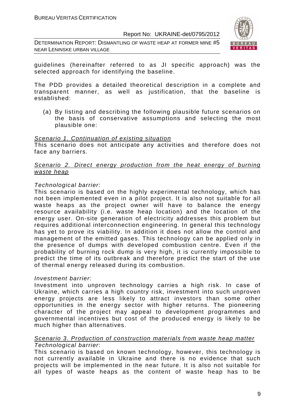DETERMINATION REPORT: DISMANTLING OF WASTE HEAP AT FORMER MINE #5 NEAR LENINSKE URBAN VILLAGE



guidelines (hereinafter referred to as JI specific approach) was the selected approach for identifying the baseline.

The PDD provides a detailed theoretical description in a complete and transparent manner, as well as justification, that the baseline is established:

(a) By listing and describing the following plausible future scenarios on the basis of conservative assumptions and selecting the most plausible one:

#### Scenario 1. Continuation of existing situation

This scenario does not anticipate any activities and therefore does not face any barriers.

#### Scenario 2. Direct energy production from the heat energy of burning waste heap

#### Technological barrier:

This scenario is based on the highly experimental technology, which has not been implemented even in a pilot project. It is also not suitable for all waste heaps as the project owner will have to balance the energy resource availability (i.e. waste heap location) and the location of the energy user. On-site generation of electricity addresses this problem but requires additional interconnection engineering. In general this technology has yet to prove its viability. In addition it does not allow the control and management of the emitted gases. This technology can be applied only in the presence of dumps with developed combustion centre. Even if the probability of burning rock dump is very high, it is currently impossible to predict the time of its outbreak and therefore predict the start of the use of thermal energy released during its combustion.

#### Investment barrier:

Investment into unproven technology carries a high risk. In case of Ukraine, which carries a high country risk, investment into such unproven energy projects are less likely to attract investors than some other opportunities in the energy sector with higher returns. The pioneering character of the project may appeal to development programmes and governmental incentives but cost of the produced energy is likely to be much higher than alternatives.

#### Scenario 3. Production of construction materials from waste heap matter Technological barrier:

This scenario is based on known technology, however, this technology is not currently available in Ukraine and there is no evidence that such projects will be implemented in the near future. It is also not suitable for all types of waste heaps as the content of waste heap has to be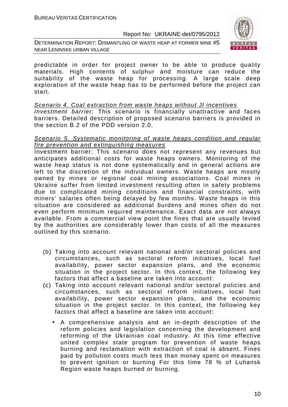DETERMINATION REPORT: DISMANTLING OF WASTE HEAP AT FORMER MINE #5 NEAR LENINSKE URBAN VILLAGE



predictable in order for project owner to be able to produce quality materials. High contents of sulphur and moisture can reduce the suitability of the waste heap for processing. A large scale deep exploration of the waste heap has to be performed before the project can start.

#### Scenario 4. Coal extraction from waste heaps without JI incentives

Investment barrier: This scenario is financially unattractive and faces barriers. Detailed description of proposed scenario barriers is provided in the section B.2 of the PDD version 2.0.

#### Scenario 5. Systematic monitoring of waste heaps condition and regular fire prevention and extinguishing measures

Investment barrier: This scenario does not represent any revenues but anticipates additional costs for waste heaps owners. Monitoring of the waste heap status is not done systematically and in general actions are left to the discretion of the individual owners. Waste heaps are mostly owned by mines or regional coal mining associations. Coal mines in Ukraine suffer from limited investment resulting often in safety problems due to complicated mining conditions and financial constraints, with miners' salaries often being delayed by few months. Waste heaps in this situation are considered as additional burdens and mines often do not even perform minimum required maintenance. Exact data are not always available. From a commercial view point the fines that are usually levied by the authorities are considerably lower than costs of all the measures outlined by this scenario.

- (b) Taking into account relevant national and/or sectoral policies and circumstances, such as sectoral reform initiatives, local fuel availability, power sector expansion plans, and the economic situation in the project sector. In this context, the following key factors that affect a baseline are taken into account:
- (c) Taking into account relevant national and/or sectoral policies and circumstances, such as sectoral reform initiatives, local fuel availability, power sector expansion plans, and the economic situation in the project sector. In this context, the following key factors that affect a baseline are taken into account:
	- A comprehensive analysis and an in-depth description of the reform policies and legislation concerning the development and reforming of the Ukrainian coal industry. At this time effective united complex state program for prevention of waste heaps burning and reclamation with extraction of coal is absent. Fines paid by pollution costs much less than money spent on measures to prevent ignition or burning For this time 78 % of Luhansk Region waste heaps burned or burning.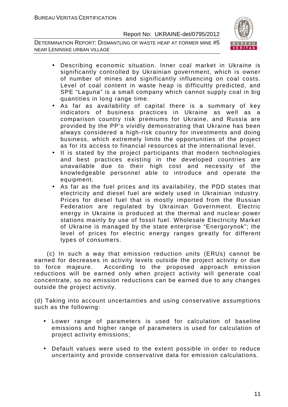DETERMINATION REPORT: DISMANTLING OF WASTE HEAP AT FORMER MINE #5 NEAR LENINSKE URBAN VILLAGE



- Describing economic situation. Inner coal market in Ukraine is significantly controlled by Ukrainian government, which is owner of number of mines and significantly influencing on coal costs. Level of coal content in waste heap is difficultly predicted, and SPE "Laguna" is a small company which cannot supply coal in big quantities in long range time.
- As far as availability of capital there is a summary of key indicators of business practices in Ukraine as well as a comparison country risk premiums for Ukraine, and Russia are provided by the PP's vividly demonstrating that Ukraine has been always considered a high-risk country for investments and doing business, which extremely limits the opportunities of the project as for its access to financial resources at the international level.
- It is stated by the project participants that modern technologies and best practices existing in the developed countries are unavailable due to their high cost and necessity of the knowledgeable personnel able to introduce and operate the equipment.
- As far as the fuel prices and its availability, the PDD states that electricity and diesel fuel are widely used in Ukrainian industry. Prices for diesel fuel that is mostly imported from the Russian Federation are regulated by Ukrainian Government. Electric energy in Ukraine is produced at the thermal and nuclear power stations mainly by use of fossil fuel. Wholesale Electricity Market of Ukraine is managed by the state enterprise "Energorynok"; the level of prices for electric energy ranges greatly for different types of consumers.

 (c) In such a way that emission reduction units (ERUs) cannot be earned for decreases in activity levels outside the project activity or due to force majeure. According to the proposed approach emission reductions will be earned only when project activity will generate coal concentrate, so no emission reductions can be earned due to any changes outside the project activity.

(d) Taking into account uncertainties and using conservative assumptions such as the following:

- Lower range of parameters is used for calculation of baseline emissions and higher range of parameters is used for calculation of project activity emissions;
- Default values were used to the extent possible in order to reduce uncertainty and provide conservative data for emission calculations.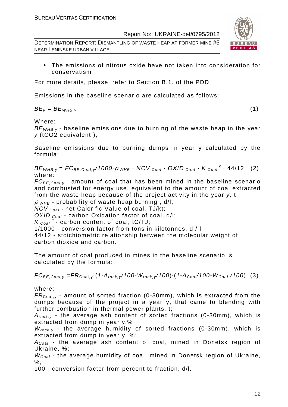DETERMINATION REPORT: DISMANTLING OF WASTE HEAP AT FORMER MINE #5 NEAR LENINSKE URBAN VILLAGE



• The emissions of nitrous oxide have not taken into consideration for conservatism

For more details, please, refer to Section B.1. of the PDD.

Emissions in the baseline scenario are calculated as follows:

 $BE_v = BE_{WHB.v}$ , (1)

Where:

 $BE<sub>WHB,V</sub>$  - baseline emissions due to burning of the waste heap in the year y (tCO2 equivalent ),

Baseline emissions due to burning dumps in year y calculated by the formula:

 $BE_{WHB,y} = FC_{BE,Coal,y}$ /1000 $\rho_{WHB}$  · NCV  $_{Coal}$  · OXID  $_{Coal}$  · K  $_{Coal}$  <sup>c</sup> · 44/12 (2) where:

 $FC_{BE,Coal,v}$  - amount of coal that has been mined in the baseline scenario and combusted for energy use, equivalent to the amount of coal extracted from the waste heap because of the project activity in the year y, t;

 $\rho$  w<sub>HB</sub> - probability of waste heap burning, d/l;

 $NCV_{Coal}$  - net Calorific Value of coal, TJ/kt;

OXID  $_{Coal}$  - carbon Oxidation factor of coal, d/l;

 $K_{\text{Coal}}^c$  - carbon content of coal, tC/TJ;

1/1000 - conversion factor from tons in kilotonnes, d / l

44/12 - stoichiometric relationship between the molecular weight of carbon dioxide and carbon.

The amount of coal produced in mines in the baseline scenario is calculated by the formula:

 $FC_{BE,Coal,v} = FR_{Coal,v} (1-A_{rock,v}/100-W_{rock,v}/100) (1-A_{Coal}/100-W_{Coal}/100)$  (3)

where:

 $FR_{\text{Coal},y}$  - amount of sorted fraction (0-30mm), which is extracted from the dumps because of the project in a year y, that came to blending with further combustion in thermal power plants, t;

 $A_{rock, v}$  - the average ash content of sorted fractions (0-30mm), which is extracted from dump in year y,%

 $W_{rock, v}$  - the average humidity of sorted fractions (0-30mm), which is extracted from dump in year y, %;

 $A_{Coal}$  - the average ash content of coal, mined in Donetsk region of Ukraine, %;

 $W_{Coal}$  - the average humidity of coal, mined in Donetsk region of Ukraine, %;

100 - conversion factor from percent to fraction, d/l.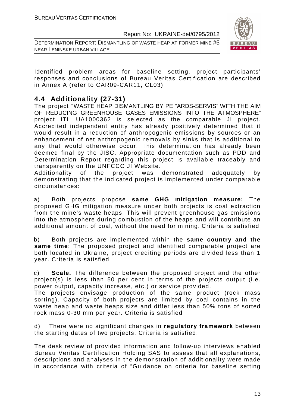DETERMINATION REPORT: DISMANTLING OF WASTE HEAP AT FORMER MINE #5 NEAR LENINSKE URBAN VILLAGE



Identified problem areas for baseline setting, project participants' responses and conclusions of Bureau Veritas Certification are described in Annex A (refer to CAR09-CAR11, CL03)

# **4.4 Additionality (27-31)**

The project "WASTE HEAP DISMANTLING BY PE "ARDS-SERVIS" WITH THE AIM OF REDUCING GREENHOUSE GASES EMISSIONS INTO THE ATMOSPHERE" project ITL UA1000362 is selected as the comparable JI project. Accredited independent entity has already positively determined that it would result in a reduction of anthropogenic emissions by sources or an enhancement of net anthropogenic removals by sinks that is additional to any that would otherwise occur. This determination has already been deemed final by the JISC. Appropriate documentation such as PDD and Determination Report regarding this project is available traceably and transparently on the UNFCCC JI Website.

Additionality of the project was demonstrated adequately by demonstrating that the indicated project is implemented under comparable circumstances:

a) Both projects propose **same GHG mitigation measure:** The proposed GHG mitigation measure under both projects is coal extraction from the mine's waste heaps. This will prevent greenhouse gas emissions into the atmosphere during combustion of the heaps and will contribute an additional amount of coal, without the need for mining. Criteria is satisfied

b) Both projects are implemented within the **same country and the same time**: The proposed project and identified comparable project are both located in Ukraine, project crediting periods are divided less than 1 year. Criteria is satisfied

c) **Scale.** The difference between the proposed project and the other project(s) is less than 50 per cent in terms of the projects output (i.e. power output, capacity increase, etc.) or service provided.

The projects envisage production of the same product (rock mass sorting). Capacity of both projects are limited by coal contains in the waste heap and waste heaps size and differ less than 50% tons of sorted rock mass 0-30 mm per year. Criteria is satisfied

d) There were no significant changes in **regulatory framework** between the starting dates of two projects. Criteria is satisfied.

The desk review of provided information and follow-up interviews enabled Bureau Veritas Certification Holding SAS to assess that all explanations, descriptions and analyses in the demonstration of additionality were made in accordance with criteria of "Guidance on criteria for baseline setting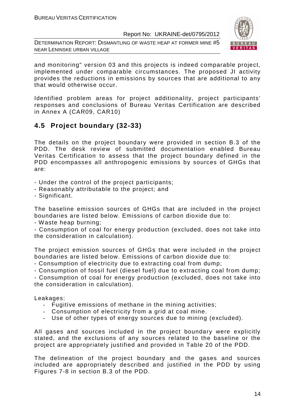DETERMINATION REPORT: DISMANTLING OF WASTE HEAP AT FORMER MINE #5 NEAR LENINSKE URBAN VILLAGE



and monitoring" version 03 and this projects is indeed comparable project, implemented under comparable circumstances. The proposed JI activity provides the reductions in emissions by sources that are additional to any that would otherwise occur.

Identified problem areas for project additionality, project participants' responses and conclusions of Bureau Veritas Certification are described in Annex A (CAR09, CAR10)

# **4.5 Project boundary (32-33)**

The details on the project boundary were provided in section B.3 of the PDD. The desk review of submitted documentation enabled Bureau Veritas Certification to assess that the project boundary defined in the PDD encompasses all anthropogenic emissions by sources of GHGs that are:

- Under the control of the project participants;
- Reasonably attributable to the project; and
- Significant.

The baseline emission sources of GHGs that are included in the project boundaries are listed below. Emissions of carbon dioxide due to:

- Waste heap burning;

- Consumption of coal for energy production (excluded, does not take into the consideration in calculation).

The project emission sources of GHGs that were included in the project boundaries are listed below. Emissions of carbon dioxide due to:

- Consumption of electricity due to extracting coal from dump;

- Consumption of fossil fuel (diesel fuel) due to extracting coal from dump;

- Consumption of coal for energy production (excluded, does not take into the consideration in calculation).

Leakages:

- Fugitive emissions of methane in the mining activities;
- Consumption of electricity from a grid at coal mine.
- Use of other types of energy sources due to mining (excluded).

All gases and sources included in the project boundary were explicitly stated, and the exclusions of any sources related to the baseline or the project are appropriately justified and provided in Table 20 of the PDD.

The delineation of the project boundary and the gases and sources included are appropriately described and justified in the PDD by using Figures 7-8 in section B.3 of the PDD.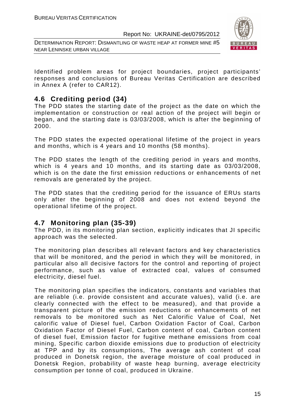DETERMINATION REPORT: DISMANTLING OF WASTE HEAP AT FORMER MINE #5 NEAR LENINSKE URBAN VILLAGE



Identified problem areas for project boundaries, project participants' responses and conclusions of Bureau Veritas Certification are described in Annex A (refer to CAR12).

# **4.6 Crediting period (34)**

The PDD states the starting date of the project as the date on which the implementation or construction or real action of the project will begin or began, and the starting date is 03/03/2008, which is after the beginning of 2000.

The PDD states the expected operational lifetime of the project in years and months, which is 4 years and 10 months (58 months).

The PDD states the length of the crediting period in years and months, which is 4 years and 10 months, and its starting date as 03/03/2008, which is on the date the first emission reductions or enhancements of net removals are generated by the project.

The PDD states that the crediting period for the issuance of ERUs starts only after the beginning of 2008 and does not extend beyond the operational lifetime of the project.

### **4.7 Monitoring plan (35-39)**

The PDD, in its monitoring plan section, explicitly indicates that JI specific approach was the selected.

The monitoring plan describes all relevant factors and key characteristics that will be monitored, and the period in which they will be monitored, in particular also all decisive factors for the control and reporting of project performance, such as value of extracted coal, values of consumed electricity, diesel fuel.

The monitoring plan specifies the indicators, constants and variables that are reliable (i.e. provide consistent and accurate values), valid (i.e. are clearly connected with the effect to be measured), and that provide a transparent picture of the emission reductions or enhancements of net removals to be monitored such as Net Calorific Value of Coal, Net calorific value of Diesel fuel, Carbon Oxidation Factor of Coal, Carbon Oxidation Factor of Diesel Fuel, Carbon content of coal, Carbon content of diesel fuel, Emission factor for fugitive methane emissions from coal mining, Specific carbon dioxide emissions due to production of electricity at TPP and by its consumptions, The average ash content of coal produced in Donetsk region, the average moisture of coal produced in Donetsk Region, probability of waste heap burning, average electricity consumption per tonne of coal, produced in Ukraine.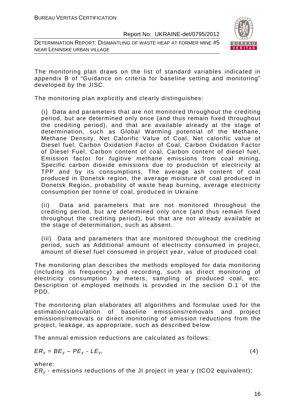DETERMINATION REPORT: DISMANTLING OF WASTE HEAP AT FORMER MINE #5 NEAR LENINSKE URBAN VILLAGE



The monitoring plan draws on the list of standard variables indicated in appendix B of "Guidance on criteria for baseline setting and monitoring" developed by the JISC.

The monitoring plan explicitly and clearly distinguishes:

(i) Data and parameters that are not monitored throughout the crediting period, but are determined only once (and thus remain fixed throughout the crediting period), and that are available already at the stage of determination, such as Global Warming potential of the Methane, Methane Density, Net Calorific Value of Coal, Net calorific value of Diesel fuel, Carbon Oxidation Factor of Coal, Carbon Oxidation Factor of Diesel Fuel, Carbon content of coal, Carbon content of diesel fuel, Emission factor for fugitive methane emissions from coal mining, Specific carbon dioxide emissions due to production of electricity at TPP and by its consumptions, The average ash content of coal produced in Donetsk region, the average moisture of coal produced in Donetsk Region, probability of waste heap burning, average electricity consumption per tonne of coal, produced in Ukraine

(ii) Data and parameters that are not monitored throughout the crediting period, but are determined only once (and thus remain fixed throughout the crediting period), but that are not already available at the stage of determination, such as absent.

(iii) Data and parameters that are monitored throughout the crediting period, such as Additional amount of electricity consumed in project, amount of diesel fuel consumed in project year, value of produced coal.

The monitoring plan describes the methods employed for data monitoring (including its frequency) and recording, such as direct monitoring of electricity consumption by meters, sampling of produced coal, etc. Description of employed methods is provided in the section D.1 of the PDD.

The monitoring plan elaborates all algorithms and formulae used for the estimation/calculation of baseline emissions/removals and project emissions/removals or direct monitoring of emission reductions from the project, leakage, as appropriate, such as described below

The annual emission reductions are calculated as follows:

$$
ER_y = BE_y - PE_y - LE_y, \tag{4}
$$

where:

 $ER<sub>v</sub>$  - emissions reductions of the JI project in year y (tCO2 equivalent);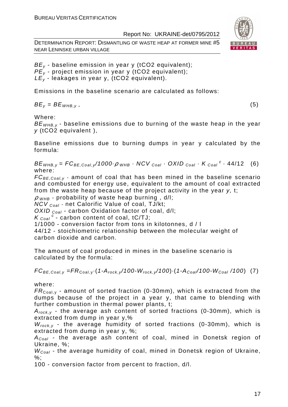DETERMINATION REPORT: DISMANTLING OF WASTE HEAP AT FORMER MINE #5 NEAR LENINSKE URBAN VILLAGE



 $BE_v$  - baseline emission in year y (tCO2 equivalent);  $PE_{y}$  - project emission in year y (tCO2 equivalent);  $LE<sub>v</sub>$  - leakages in year y, (tCO2 equivalent).

Emissions in the baseline scenario are calculated as follows:

 $BE_v = BE_{WHB.v}$ , (5)

Where:

 $BE<sub>WHB-V</sub>$  - baseline emissions due to burning of the waste heap in the year y (tCO2 equivalent ),

Baseline emissions due to burning dumps in year y calculated by the formula:

 $BE_{WHB,y} = FC_{BE,Coal,y}$ /1000 $\rho_{WHB}$  · NCV  $_{Coal}$  · OXID  $_{Coal}$  · K  $_{Coal}$  <sup>c</sup> · 44/12 (6) where:

 $FC_{BE,Coal,v}$  - amount of coal that has been mined in the baseline scenario and combusted for energy use, equivalent to the amount of coal extracted from the waste heap because of the project activity in the year y, t;

 $\rho$  <sub>WHB</sub> - probability of waste heap burning, d/l;

 $NCV_{Coal}$  - net Calorific Value of coal, TJ/kt;

OXID  $_{Coal}$  - carbon Oxidation factor of coal, d/l;

 $K_{\text{Coal}}^c$  - carbon content of coal, tC/TJ;

1/1000 - conversion factor from tons in kilotonnes, d / l

44/12 - stoichiometric relationship between the molecular weight of carbon dioxide and carbon.

The amount of coal produced in mines in the baseline scenario is calculated by the formula:

 $FC_{BE,Coal,y} = FR_{Coal,y} \cdot (1-A_{rock,y}/100-W_{rock,y}/100) \cdot (1-A_{Coal}/100-W_{Coal}/100)$  (7)

where:

 $FR_{\text{Coal,v}}$  - amount of sorted fraction (0-30mm), which is extracted from the dumps because of the project in a year y, that came to blending with further combustion in thermal power plants, t;

 $A_{rock, v}$  - the average ash content of sorted fractions (0-30mm), which is extracted from dump in year y,%

 $W_{rock, v}$  - the average humidity of sorted fractions (0-30mm), which is extracted from dump in year y, %;

 $A_{Coal}$  - the average ash content of coal, mined in Donetsk region of Ukraine, %;

 $W_{Coal}$  - the average humidity of coal, mined in Donetsk region of Ukraine,  $\%$ :

100 - conversion factor from percent to fraction, d/l.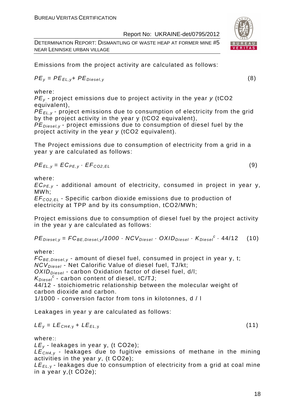DETERMINATION REPORT: DISMANTLING OF WASTE HEAP AT FORMER MINE #5 NEAR LENINSKE URBAN VILLAGE

Emissions from the project activity are calculated as follows:

$$
PE_{y} = PE_{EL,y} + PE_{Diesel,y}
$$
 (8)

where:

 $PE<sub>v</sub>$  - project emissions due to project activity in the year y (tCO2 equivalent),

PE*Е*L,y - project emissions due to consumption of electricity from the grid by the project activity in the year y (tCO2 equivalent),

 $PE_{\text{Diegley}}$  - project emissions due to consumption of diesel fuel by the project activity in the year y (tCO2 equivalent).

The Project emissions due to consumption of electricity from a grid in a year y are calculated as follows:

$$
PE_{EL,y} = EC_{PE,y} \cdot EF_{CO2,EL}
$$
 (9)

where:

 $EC_{PE,v}$  - additional amount of electricity, consumed in project in year y, MWh;

EF<sup>C</sup>*О*2,EL - Specific carbon dioxide emissions due to production of electricity at TPP and by its consumption, tCO2/MWh;

Project emissions due to consumption of diesel fuel by the project activity in the year y are calculated as follows:

 $PE_{\text{Diesel},y} = FC_{\text{BE},\text{Diesel},y} / 1000 \cdot NCV_{\text{Diesel}} \cdot OX / D_{\text{Diesel}} \cdot K_{\text{Diesel}}^c \cdot 44 / 12$  (10)

where:

 $FC_{BE, Diesel, y}$  - amount of diesel fuel, consumed in project in year v, t; NCV<sub>Diesel</sub> - Net Calorific Value of diesel fuel, TJ/kt;  $OXID<sub>Diesel</sub>$  - carbon Oxidation factor of diesel fuel, d/l;  $K_{Diesel}^c$  - carbon content of diesel, tC/TJ; 44/12 - stoichiometric relationship between the molecular weight of

carbon dioxide and carbon.

1/1000 - conversion factor from tons in kilotonnes, d / l

Leakages in year y are calculated as follows:

$$
LE_y = LE_{CH4,y} + LE_{EL,y}
$$
 (11)

where::

 $LE<sub>v</sub>$  - leakages in year y, (t CO2e);

 $LE<sub>CH4,y</sub>$  - leakages due to fugitive emissions of methane in the mining activities in the year y, (t СО2е);

 $LE_{EL, y}$  - leakages due to consumption of electricity from a grid at coal mine in a year y,(t СО2е);

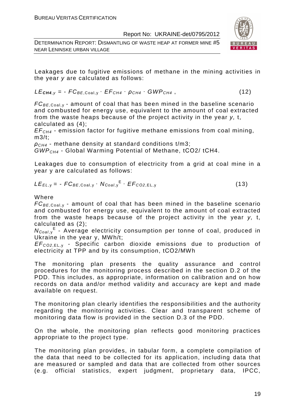DETERMINATION REPORT: DISMANTLING OF WASTE HEAP AT FORMER MINE #5 NEAR LENINSKE URBAN VILLAGE



Leakages due to fugitive emissions of methane in the mining activities in the year y are calculated as follows:

$$
LE_{\text{CH4},y} = -FC_{BE,Coal,y} \cdot EF_{CH4} \cdot \rho_{CH4} \cdot GWP_{CH4}, \qquad (12)
$$

 $FC_{BE,Coal, y}$  - amount of coal that has been mined in the baseline scenario and combusted for energy use, equivalent to the amount of coal extracted from the waste heaps because of the project activity in the year y, t, calculated as (4);

 $EF<sub>CH4</sub>$  - emission factor for fugitive methane emissions from coal mining,  $m3/t$ :

 $\rho_{CH4}$  - methane density at standard conditions t/m3;

GWPCH4 - Global Warming Potential of Methane, tСО2/ tСН4.

Leakages due to consumption of electricity from a grid at coal mine in a year y are calculated as follows:

$$
LE_{EL,y} = -FC_{BE,Coal,y} \cdot N_{Coal,y}^{E} \cdot EF_{CO2,EL,y}
$$
 (13)

Where

 $FC_{BE,Coal,v}$  - amount of coal that has been mined in the baseline scenario and combusted for energy use, equivalent to the amount of coal extracted from the waste heaps because of the project activity in the year y, t, calculated as (2);

N<sub>Coal,y</sub><sup>E</sup> - Average electricity consumption per tonne of coal, produced in Ukraine in the year y, MWh/t;

EF<sup>C</sup>*О*2,EL, <sup>у</sup> - Specific carbon dioxide emissions due to production of electricity at TPP and by its consumption, tСО2/MWh

The monitoring plan presents the quality assurance and control procedures for the monitoring process described in the section D.2 of the PDD. This includes, as appropriate, information on calibration and on how records on data and/or method validity and accuracy are kept and made available on request.

The monitoring plan clearly identifies the responsibilities and the authority regarding the monitoring activities. Clear and transparent scheme of monitoring data flow is provided in the section D.3 of the PDD.

On the whole, the monitoring plan reflects good monitoring practices appropriate to the project type.

The monitoring plan provides, in tabular form, a complete compilation of the data that need to be collected for its application, including data that are measured or sampled and data that are collected from other sources (e.g. official statistics, expert judgment, proprietary data, IPCC,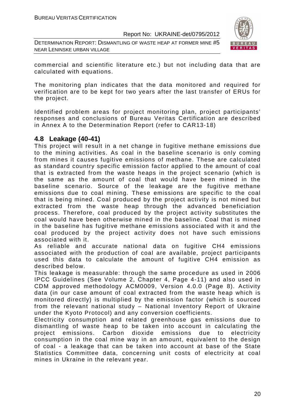DETERMINATION REPORT: DISMANTLING OF WASTE HEAP AT FORMER MINE #5 NEAR LENINSKE URBAN VILLAGE



commercial and scientific literature etc.) but not including data that are calculated with equations.

The monitoring plan indicates that the data monitored and required for verification are to be kept for two years after the last transfer of ERUs for the project.

Identified problem areas for project monitoring plan, project participants' responses and conclusions of Bureau Veritas Certification are described in Annex A to the Determination Report (refer to CAR13-18)

### **4.8 Leakage (40-41)**

This project will result in a net change in fugitive methane emissions due to the mining activities. As coal in the baseline scenario is only coming from mines it causes fugitive emissions of methane. These are calculated as standard country specific emission factor applied to the amount of coal that is extracted from the waste heaps in the project scenario (which is the same as the amount of coal that would have been mined in the baseline scenario. Source of the leakage are the fugitive methane emissions due to coal mining. These emissions are specific to the coal that is being mined. Coal produced by the project activity is not mined but extracted from the waste heap through the advanced beneficiation process. Therefore, coal produced by the project activity substitutes the coal would have been otherwise mined in the baseline. Coal that is mined in the baseline has fugitive methane emissions associated with it and the coal produced by the project activity does not have such emissions associated with it.

As reliable and accurate national data on fugitive CH4 emissions associated with the production of coal are available, project participants used this data to calculate the amount of fugitive CH4 emission as described below.

This leakage is measurable: through the same procedure as used in 2006 IPCC Guidelines (See Volume 2, Chapter 4, Page 4-11) and also used in CDM approved methodology ACM0009, Version 4.0.0 (Page 8). Activity data (in our case amount of coal extracted from the waste heap which is monitored directly) is multiplied by the emission factor (which is sourced from the relevant national study – National Inventory Report of Ukraine under the Kyoto Protocol) and any conversion coefficients.

Electricity consumption and related greenhouse gas emissions due to dismantling of waste heap to be taken into account in calculating the project emissions. Carbon dioxide emissions due to electricity consumption in the coal mine way in an amount, equivalent to the design of coal - a leakage that can be taken into account at base of the State Statistics Committee data, concerning unit costs of electricity at coal mines in Ukraine in the relevant year.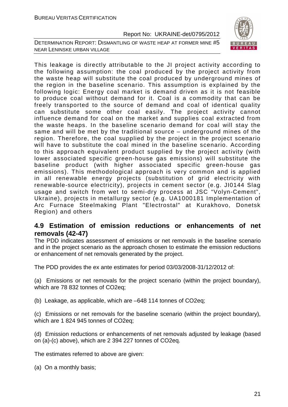



This leakage is directly attributable to the JI project activity according to the following assumption: the coal produced by the project activity from the waste heap will substitute the coal produced by underground mines of the region in the baseline scenario. This assumption is explained by the following logic: Energy coal market is demand driven as it is not feasible to produce coal without demand for it. Coal is a commodity that can be freely transported to the source of demand and coal of identical quality can substitute some other coal easily. The project activity cannot influence demand for coal on the market and supplies coal extracted from the waste heaps. In the baseline scenario demand for coal will stay the same and will be met by the traditional source – underground mines of the region. Therefore, the coal supplied by the project in the project scenario will have to substitute the coal mined in the baseline scenario. According to this approach equivalent product supplied by the project activity (with lower associated specific green-house gas emissions) will substitute the baseline product (with higher associated specific green-house gas emissions). This methodological approach is very common and is applied in all renewable energy projects (substitution of grid electricity with renewable-source electricity), projects in cement sector (e.g. JI0144 Slag usage and switch from wet to semi-dry process at JSC "Volyn-Cement", Ukraine), projects in metallurgy sector (e.g. UA1000181 Implementation of Arc Furnace Steelmaking Plant "Electrostal" at Kurakhovo, Donetsk Region) and others

### **4.9 Estimation of emission reductions or enhancements of net removals (42-47)**

The PDD indicates assessment of emissions or net removals in the baseline scenario and in the project scenario as the approach chosen to estimate the emission reductions or enhancement of net removals generated by the project.

The PDD provides the ex ante estimates for period 03/03/2008-31/12/2012 of:

(a) Emissions or net removals for the project scenario (within the project boundary), which are 78 832 tonnes of CO2eq;

(b) Leakage, as applicable, which are –648 114 tonnes of CO2eq;

(c) Emissions or net removals for the baseline scenario (within the project boundary), which are 1 824 945 tonnes of CO2eq;

(d) Emission reductions or enhancements of net removals adjusted by leakage (based on (a)-(c) above), which are 2 394 227 tonnes of CO2eq.

The estimates referred to above are given:

(a) On a monthly basis;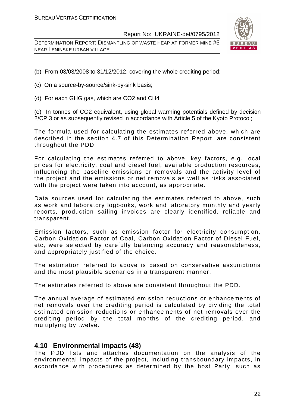DETERMINATION REPORT: DISMANTLING OF WASTE HEAP AT FORMER MINE #5 NEAR LENINSKE URBAN VILLAGE



- (b) From 03/03/2008 to 31/12/2012, covering the whole crediting period;
- (c) On a source-by-source/sink-by-sink basis;
- (d) For each GHG gas, which are CO2 and CH4

(e) In tonnes of CO2 equivalent, using global warming potentials defined by decision 2/CP.3 or as subsequently revised in accordance with Article 5 of the Kyoto Protocol;

The formula used for calculating the estimates referred above, which are described in the section 4.7 of this Determination Report, are consistent throughout the PDD.

For calculating the estimates referred to above, key factors, e.g. local prices for electricity, coal and diesel fuel, available production resources, influencing the baseline emissions or removals and the activity level of the project and the emissions or net removals as well as risks associated with the project were taken into account, as appropriate.

Data sources used for calculating the estimates referred to above, such as work and laboratory logbooks, work and laboratory monthly and yearly reports, production sailing invoices are clearly identified, reliable and transparent.

Emission factors, such as emission factor for electricity consumption, Carbon Oxidation Factor of Coal, Carbon Oxidation Factor of Diesel Fuel, etc, were selected by carefully balancing accuracy and reasonableness, and appropriately justified of the choice.

The estimation referred to above is based on conservative assumptions and the most plausible scenarios in a transparent manner.

The estimates referred to above are consistent throughout the PDD.

The annual average of estimated emission reductions or enhancements of net removals over the crediting period is calculated by dividing the total estimated emission reductions or enhancements of net removals over the crediting period by the total months of the crediting period, and multiplying by twelve.

#### **4.10 Environmental impacts (48)**

The PDD lists and attaches documentation on the analysis of the environmental impacts of the project, including transboundary impacts, in accordance with procedures as determined by the host Party, such as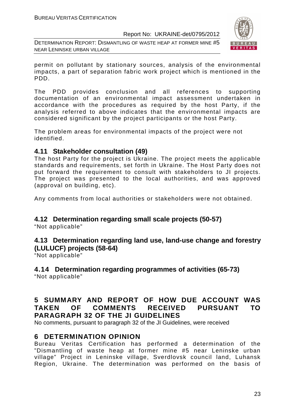DETERMINATION REPORT: DISMANTLING OF WASTE HEAP AT FORMER MINE #5 NEAR LENINSKE URBAN VILLAGE



permit on pollutant by stationary sources, analysis of the environmental impacts, a part of separation fabric work project which is mentioned in the PDD.

The PDD provides conclusion and all references to supporting documentation of an environmental impact assessment undertaken in accordance with the procedures as required by the host Party, if the analysis referred to above indicates that the environmental impacts are considered significant by the project participants or the host Party.

The problem areas for environmental impacts of the project were not identified.

### **4.11 Stakeholder consultation (49)**

The host Party for the project is Ukraine. The project meets the applicable standards and requirements, set forth in Ukraine. The Host Party does not put forward the requirement to consult with stakeholders to JI projects. The project was presented to the local authorities, and was approved (approval on building, etc).

Any comments from local authorities or stakeholders were not obtained.

# **4.12 Determination regarding small scale projects (50-57)**

"Not applicable"

#### **4.13 Determination regarding land use, land-use change and forestry (LULUCF) projects (58-64)**

"Not applicable"

**4.14 Determination regarding programmes of activities (65-73)**  "Not applicable"

# **5 SUMMARY AND REPORT OF HOW DUE ACCOUNT WAS TAKEN OF COMMENTS RECEIVED PURSUANT TO PARAGRAPH 32 OF THE JI GUIDELINES**

No comments, pursuant to paragraph 32 of the JI Guidelines, were received

# **6 DETERMINATION OPINION**

Bureau Veritas Certification has performed a determination of the "Dismantling of waste heap at former mine #5 near Leninske urban village" Project in Leninske village, Sverdlovsk council land, Luhansk Region, Ukraine. The determination was performed on the basis of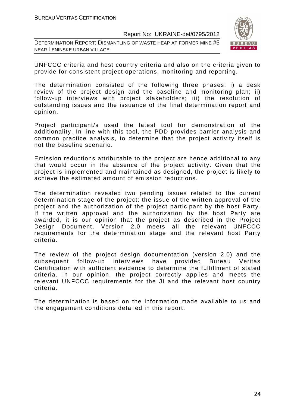DETERMINATION REPORT: DISMANTLING OF WASTE HEAP AT FORMER MINE #5 NEAR LENINSKE URBAN VILLAGE



UNFCCC criteria and host country criteria and also on the criteria given to provide for consistent project operations, monitoring and reporting.

The determination consisted of the following three phases: i) a desk review of the project design and the baseline and monitoring plan; ii) follow-up interviews with project stakeholders; iii) the resolution of outstanding issues and the issuance of the final determination report and opinion.

Project participant/s used the latest tool for demonstration of the additionality. In line with this tool, the PDD provides barrier analysis and common practice analysis, to determine that the project activity itself is not the baseline scenario.

Emission reductions attributable to the project are hence additional to any that would occur in the absence of the project activity. Given that the project is implemented and maintained as designed, the project is likely to achieve the estimated amount of emission reductions.

The determination revealed two pending issues related to the current determination stage of the project: the issue of the written approval of the project and the authorization of the project participant by the host Party. If the written approval and the authorization by the host Party are awarded, it is our opinion that the project as described in the Project Design Document, Version 2.0 meets all the relevant UNFCCC requirements for the determination stage and the relevant host Party criteria.

The review of the project design documentation (version 2.0) and the subsequent follow-up interviews have provided Bureau Veritas Certification with sufficient evidence to determine the fulfillment of stated criteria. In our opinion, the project correctly applies and meets the relevant UNFCCC requirements for the JI and the relevant host country criteria.

The determination is based on the information made available to us and the engagement conditions detailed in this report.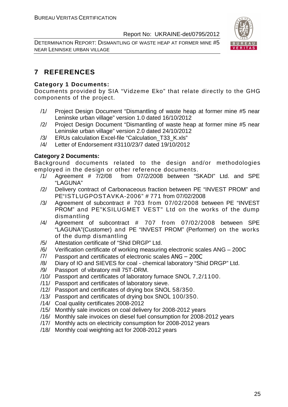DETERMINATION REPORT: DISMANTLING OF WASTE HEAP AT FORMER MINE #5 NEAR LENINSKE URBAN VILLAGE



# **7 REFERENCES**

#### **Category 1 Documents:**

Documents provided by SIA "Vidzeme Eko" that relate directly to the GHG components of the project.

- /1/ Project Design Document "Dismantling of waste heap at former mine #5 near Leninske urban village" version 1.0 dated 16/10/2012
- /2/ Project Design Document "Dismantling of waste heap at former mine #5 near Leninske urban village" version 2.0 dated 24/10/2012
- /3/ ERUs calculation Excel-file "Calculation\_T33\_K.xls"
- /4/ Letter of Endorsement #3110/23/7 dated 19/10/2012

#### **Category 2 Documents:**

Background documents related to the design and/or methodologies employed in the design or other reference documents.

- /1/ Agreement # 7/2/08 from 07/2/2008 between "SKADI" Ltd. and SPE "LAGUNA"
- /2/ Delivery contract of Carbonaceous fraction between PE "INVEST PROM" and PE"ISTLUGPOSTAVKA-2006" # 771 from 07/02/2008
- /3/ Agreement of subcontract # 703 from 07/02/2008 between PE "INVEST PROM" and PE"KSILUGMET VEST" Ltd on the works of the dump dismantling
- /4/ Agreement of subcontract # 707 from 07/02/2008 between SPE "LAGUNA"(Customer) and PE "INVEST PROM" (Performer) on the works of the dump dismantling
- /5/ Attestation certificate of "Shid DRGP" Ltd.
- /6/ Verification certificate of working measuring electronic scales ANG 200C
- /7/ Passport and certificates of electronic scales ANG 200C
- /8/ Diary of IO and SIEVES for coal chemical laboratory "Shid DRGP" Ltd.
- /9/ Passport of vibratory mill 75T-DRM.
- /10/ Passport and certificates of laboratory furnace SNOL 7,2/1100.
- /11/ Passport and certificates of laboratory sieve.
- /12/ Passport and certificates of drying box SNOL 58/350.
- /13/ Passport and certificates of drying box SNOL 100/350.
- /14/ Coal quality certificates 2008-2012
- /15/ Monthly sale invoices on coal delivery for 2008-2012 years
- /16/ Monthly sale invoices on diesel fuel consumption for 2008-2012 years
- /17/ Monthly acts on electricity consumption for 2008-2012 years
- /18/ Monthly coal weighting act for 2008-2012 years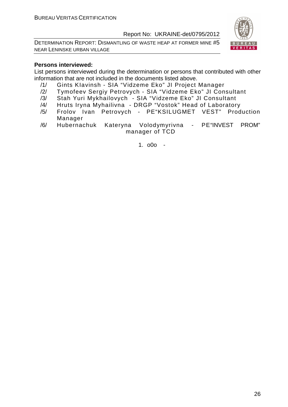DETERMINATION REPORT: DISMANTLING OF WASTE HEAP AT FORMER MINE #5 NEAR LENINSKE URBAN VILLAGE



#### **Persons interviewed:**

List persons interviewed during the determination or persons that contributed with other information that are not included in the documents listed above.

- /1/ Gints KIavinsh SIA "Vidzeme Eko" JI Project Manager
- /2/ Tymofeev Sergiy Petrovych SIA "Vidzeme Eko" JI Consultant
- /3/ Stah Yuri Mykhailovych SIA "Vidzeme Eko" JI Consultant
- /4/ Hruts Iryna Myhailivna DRGP "Vostok" Head of Laboratory
- /5/ Frolov Ivan Petrovych PE"KSILUGMET VEST" Production Manager
- /6/ Hubernachuk Kateryna Volodymyrivna PE"INVEST PROM" manager of TCD

1. o0o -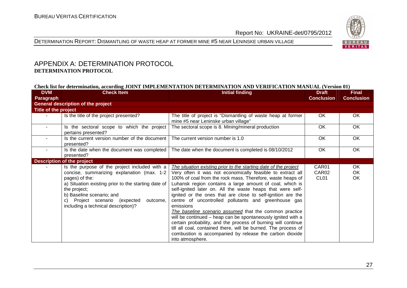



#### APPENDIX A: DETERMINATION PROTOCOL **DETERMINATION PROTOCOL**

#### **Check list for determination, according JOINT IMPLEMENTATION DETERMINATION AND VERIFICATION MANUAL (Version 01)**

| <b>DVM</b><br><b>Paragraph</b> | <b>Check Item</b>                                                                                                                                                                                                                                                                                        | <b>Initial finding</b>                                                                                                                                                                                                                                                                                                                                                                                                                                                                                                                                                                                                                                                                                                                                                                                 | <b>Draft</b><br><b>Conclusion</b>  | <b>Final</b><br><b>Conclusion</b> |
|--------------------------------|----------------------------------------------------------------------------------------------------------------------------------------------------------------------------------------------------------------------------------------------------------------------------------------------------------|--------------------------------------------------------------------------------------------------------------------------------------------------------------------------------------------------------------------------------------------------------------------------------------------------------------------------------------------------------------------------------------------------------------------------------------------------------------------------------------------------------------------------------------------------------------------------------------------------------------------------------------------------------------------------------------------------------------------------------------------------------------------------------------------------------|------------------------------------|-----------------------------------|
|                                | <b>General description of the project</b>                                                                                                                                                                                                                                                                |                                                                                                                                                                                                                                                                                                                                                                                                                                                                                                                                                                                                                                                                                                                                                                                                        |                                    |                                   |
| Title of the project           |                                                                                                                                                                                                                                                                                                          |                                                                                                                                                                                                                                                                                                                                                                                                                                                                                                                                                                                                                                                                                                                                                                                                        |                                    |                                   |
|                                | Is the title of the project presented?                                                                                                                                                                                                                                                                   | The title of project is "Dismantling of waste heap at former<br>mine #5 near Leninske urban village"                                                                                                                                                                                                                                                                                                                                                                                                                                                                                                                                                                                                                                                                                                   | OK.                                | OK                                |
|                                | Is the sectoral scope to which the project<br>pertains presented?                                                                                                                                                                                                                                        | The sectoral scope is 8. Mining/mineral production                                                                                                                                                                                                                                                                                                                                                                                                                                                                                                                                                                                                                                                                                                                                                     | OK                                 | OK                                |
|                                | Is the current version number of the document<br>presented?                                                                                                                                                                                                                                              | The current version number is 1.0                                                                                                                                                                                                                                                                                                                                                                                                                                                                                                                                                                                                                                                                                                                                                                      | OK                                 | OK                                |
|                                | Is the date when the document was completed<br>presented?                                                                                                                                                                                                                                                | The date when the document is completed is 08/10/2012                                                                                                                                                                                                                                                                                                                                                                                                                                                                                                                                                                                                                                                                                                                                                  | OK.                                | OK.                               |
|                                | <b>Description of the project</b>                                                                                                                                                                                                                                                                        |                                                                                                                                                                                                                                                                                                                                                                                                                                                                                                                                                                                                                                                                                                                                                                                                        |                                    |                                   |
|                                | Is the purpose of the project included with a<br>concise, summarizing explanation (max. 1-2<br>pages) of the:<br>a) Situation existing prior to the starting date of<br>the project;<br>b) Baseline scenario; and<br>Project scenario (expected<br>outcome,<br>C)<br>including a technical description)? | The situation existing prior to the starting date of the project<br>Very often it was not economically feasible to extract all<br>100% of coal from the rock mass. Therefore, waste heaps of<br>Luhansk region contains a large amount of coal, which is<br>self-ignited later on. All the waste heaps that were self-<br>ignited or the ones that are close to self-ignition are the<br>centre of uncontrolled pollutants and greenhouse gas<br>emissions<br>The baseline scenario assumed that the common practice<br>will be continued – heap can be spontaneously ignited with a<br>certain probability, and the process of burning will continue<br>till all coal, contained there, will be burned. The process of<br>combustion is accompanied by release the carbon dioxide<br>into atmosphere. | CAR01<br>CAR02<br>CL <sub>01</sub> | OK<br><b>OK</b><br>OK.            |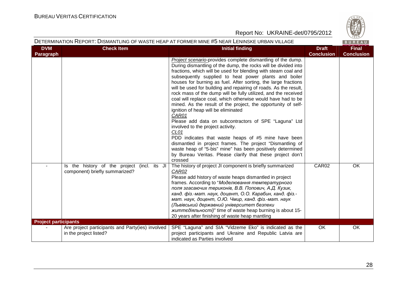

| DETERMINATION REPORT: DISMANTLING OF WASTE HEAP AT FORMER MINE #5 NEAR LENINSKE URBAN VILLAGE<br>BUREAU |                                                                               |                                                                                                                                                                                                                                                                                                                                                                                                                                                                                                                                                                                                                                                                                                                                                                                                                                                                                                                                                                                                                                |                                   |                                   |  |
|---------------------------------------------------------------------------------------------------------|-------------------------------------------------------------------------------|--------------------------------------------------------------------------------------------------------------------------------------------------------------------------------------------------------------------------------------------------------------------------------------------------------------------------------------------------------------------------------------------------------------------------------------------------------------------------------------------------------------------------------------------------------------------------------------------------------------------------------------------------------------------------------------------------------------------------------------------------------------------------------------------------------------------------------------------------------------------------------------------------------------------------------------------------------------------------------------------------------------------------------|-----------------------------------|-----------------------------------|--|
| <b>DVM</b><br>Paragraph                                                                                 | <b>Check Item</b>                                                             | <b>Initial finding</b>                                                                                                                                                                                                                                                                                                                                                                                                                                                                                                                                                                                                                                                                                                                                                                                                                                                                                                                                                                                                         | <b>Draft</b><br><b>Conclusion</b> | <b>Final</b><br><b>Conclusion</b> |  |
|                                                                                                         |                                                                               | Project scenario-provides complete dismantling of the dump.<br>During dismantling of the dump, the rocks will be divided into<br>fractions, which will be used for blending with steam coal and<br>subsequently supplied to heat power plants and boiler<br>houses for burning as fuel. After sorting, the large fractions<br>will be used for building and repairing of roads. As the result,<br>rock mass of the dump will be fully utilized, and the received<br>coal will replace coal, which otherwise would have had to be<br>mined. As the result of the project, the opportunity of self-<br>ignition of heap will be eliminated<br>CAR01<br>Please add data on subcontractors of SPE "Laguna" Ltd<br>involved to the project activity.<br>CL <sub>01</sub><br>PDD indicates that waste heaps of #5 mine have been<br>dismantled in project frames. The project "Dismantling of<br>waste heap of "5-bis" mine" has been positively determined<br>by Bureau Veritas. Please clarify that these project don't<br>crossed |                                   |                                   |  |
|                                                                                                         | Is the history of the project (incl. its JI<br>component) briefly summarized? | The history of project JI component is briefly summarized<br>CAR02<br>Please add history of waste heaps dismantled in project<br>frames. According to "Моделювання температурного<br>поля згасаючих териконів, В.В. Попович, А.Д. Кузик,<br>канд. фіз.-мат. наук, доцент, О.О. Карабин, канд. фіз.-<br>мат. наук, доцент, О.Ю. Чмир, канд. фіз.-мат. наук<br>(Львівський державний університет безпеки<br>життєдіяльності)" time of waste heap burning is about 15-<br>20 years after finishing of waste heap mantling                                                                                                                                                                                                                                                                                                                                                                                                                                                                                                         | CAR02                             | OK                                |  |
| <b>Project participants</b>                                                                             |                                                                               |                                                                                                                                                                                                                                                                                                                                                                                                                                                                                                                                                                                                                                                                                                                                                                                                                                                                                                                                                                                                                                |                                   |                                   |  |
|                                                                                                         | Are project participants and Party(ies) involved<br>in the project listed?    | SPE "Laguna" and SIA "Vidzeme Eko" is indicated as the<br>project participants and Ukraine and Republic Latvia are<br>indicated as Parties involved                                                                                                                                                                                                                                                                                                                                                                                                                                                                                                                                                                                                                                                                                                                                                                                                                                                                            | OK                                | OK                                |  |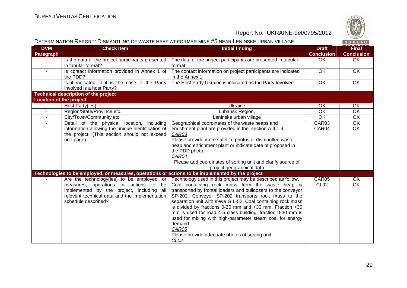

|                                |                                                                                                                                                                                                                                                                                                               | DETERMINATION REPORT: DISMANTLING OF WASTE HEAP AT FORMER MINE #5 NEAR LENINSKE URBAN VILLAGE                                                                                                                                                                                                                                                                                                                                                                                                                                                                                             |                                   | BUREAU                            |
|--------------------------------|---------------------------------------------------------------------------------------------------------------------------------------------------------------------------------------------------------------------------------------------------------------------------------------------------------------|-------------------------------------------------------------------------------------------------------------------------------------------------------------------------------------------------------------------------------------------------------------------------------------------------------------------------------------------------------------------------------------------------------------------------------------------------------------------------------------------------------------------------------------------------------------------------------------------|-----------------------------------|-----------------------------------|
| <b>DVM</b><br>Paragraph        | <b>Check Item</b>                                                                                                                                                                                                                                                                                             | <b>Initial finding</b>                                                                                                                                                                                                                                                                                                                                                                                                                                                                                                                                                                    | <b>Draft</b><br><b>Conclusion</b> | <b>Final</b><br><b>Conclusion</b> |
|                                | Is the data of the project participants presented<br>in tabular format?                                                                                                                                                                                                                                       | The data of the project participants are presented in tabular<br>format                                                                                                                                                                                                                                                                                                                                                                                                                                                                                                                   | OK                                | <b>OK</b>                         |
|                                | Is contact information provided in Annex 1 of<br>the PDD?                                                                                                                                                                                                                                                     | The contact information on project participants are indicated<br>in the Annex 1                                                                                                                                                                                                                                                                                                                                                                                                                                                                                                           | OK                                | $\overline{OK}$                   |
|                                | Is it indicated, if it is the case, if the Party<br>involved is a host Party?                                                                                                                                                                                                                                 | The Host Party Ukraine is indicated as the Party Involved                                                                                                                                                                                                                                                                                                                                                                                                                                                                                                                                 | <b>OK</b>                         | <b>OK</b>                         |
|                                | <b>Technical description of the project</b>                                                                                                                                                                                                                                                                   |                                                                                                                                                                                                                                                                                                                                                                                                                                                                                                                                                                                           |                                   |                                   |
| <b>Location of the project</b> |                                                                                                                                                                                                                                                                                                               |                                                                                                                                                                                                                                                                                                                                                                                                                                                                                                                                                                                           |                                   |                                   |
|                                | Host Party(ies)                                                                                                                                                                                                                                                                                               | Ukraine                                                                                                                                                                                                                                                                                                                                                                                                                                                                                                                                                                                   | OK                                | OK                                |
| $\blacksquare$                 | Region/State/Province etc.                                                                                                                                                                                                                                                                                    | Luhansk Region,                                                                                                                                                                                                                                                                                                                                                                                                                                                                                                                                                                           | OK                                | OK                                |
| $\sim$                         | City/Town/Community etc.                                                                                                                                                                                                                                                                                      | Leninske urban village                                                                                                                                                                                                                                                                                                                                                                                                                                                                                                                                                                    | OK                                | OK                                |
|                                | Detail of the physical location, including<br>information allowing the unique identification of<br>the project. (This section should not exceed<br>one page)                                                                                                                                                  | Geographical coordinates of the waste heaps and<br>enrichment plant are provided in the section A.4.1.4<br>CAR03<br>Please provide more satellite photos of dismantled waste<br>heap and enrichment plant or indicate date of proposed in<br>the PDD photo.<br>CAR04<br>Please add coordinates of sorting unit and clarify source of<br>project geographical data                                                                                                                                                                                                                         | CAR03<br>CAR04                    | OK<br><b>OK</b>                   |
|                                | Technologies to be employed, or measures, operations or actions to be implemented by the project<br>Are the technology(ies) to be employed, or<br>measures, operations or actions to be<br>implemented by the project, including all<br>relevant technical data and the implementation<br>schedule described? | Technology used in this project may be described as follow.<br>Coal containing rock mass from the waste heap is<br>transported by frontal loaders and bulldozers to the conveyor<br>SP-202. Conveyor SP-202 transports rock mass to the<br>separation unit with sieve GIL-52. Coal containing rock mass<br>is divided by fractions 0-30 mm and +30 mm. Fraction +30<br>mm is used for road 4-5 class building, fraction 0-30 mm is<br>used for mixing with high-parameter steam coal for energy<br>demand.<br>CAR05<br>Please provide adequate photos of sorting unit<br>CL <sub>02</sub> | CAR <sub>05</sub><br><b>CL02</b>  | OK.<br>OK                         |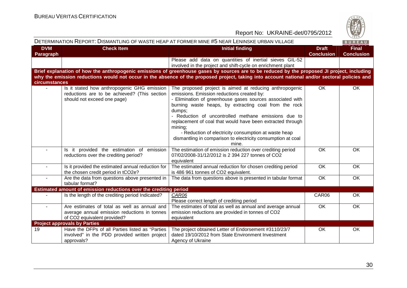

|                         |                                                                                                                             | DETERMINATION REPORT: DISMANTLING OF WASTE HEAP AT FORMER MINE #5 NEAR LENINSKE URBAN VILLAGE                                                                                                                                                                                                                                                                                                                                                                                                           |                                   | BUREAU                            |
|-------------------------|-----------------------------------------------------------------------------------------------------------------------------|---------------------------------------------------------------------------------------------------------------------------------------------------------------------------------------------------------------------------------------------------------------------------------------------------------------------------------------------------------------------------------------------------------------------------------------------------------------------------------------------------------|-----------------------------------|-----------------------------------|
| <b>DVM</b><br>Paragraph | <b>Check Item</b>                                                                                                           | <b>Initial finding</b>                                                                                                                                                                                                                                                                                                                                                                                                                                                                                  | <b>Draft</b><br><b>Conclusion</b> | <b>Final</b><br><b>Conclusion</b> |
|                         |                                                                                                                             | Please add data on quantities of inertial sieves GIL-52<br>involved in the project and shift-cycle on enrichment plant                                                                                                                                                                                                                                                                                                                                                                                  |                                   |                                   |
| circumstances           |                                                                                                                             | Brief explanation of how the anthropogenic emissions of greenhouse gases by sources are to be reduced by the proposed JI project, including<br>why the emission reductions would not occur in the absence of the proposed project, taking into account national and/or sectoral policies and                                                                                                                                                                                                            |                                   |                                   |
|                         | Is it stated how anthropogenic GHG emission<br>reductions are to be achieved? (This section<br>should not exceed one page)  | The proposed project is aimed at reducing anthropogenic<br>emissions. Emission reductions created by:<br>- Elimination of greenhouse gases sources associated with<br>burning waste heaps, by extracting coal from the rock<br>dumps;<br>- Reduction of uncontrolled methane emissions due to<br>replacement of coal that would have been extracted through<br>mining;<br>- Reduction of electricity consumption at waste heap<br>dismantling in comparison to electricity consumption at coal<br>mine. | <b>OK</b>                         | <b>OK</b>                         |
| $\blacksquare$          | Is it provided the estimation of emission<br>reductions over the crediting period?                                          | The estimation of emission reduction over crediting period<br>07/02/2008-31/12/2012 is 2 394 227 tonnes of CO2<br>equivalent                                                                                                                                                                                                                                                                                                                                                                            | OK                                | OK                                |
| $\sim$                  | Is it provided the estimated annual reduction for<br>the chosen credit period in tCO2e?                                     | The estimated annual reduction for chosen crediting period<br>is 486 961 tonnes of CO2 equivalent.                                                                                                                                                                                                                                                                                                                                                                                                      | <b>OK</b>                         | <b>OK</b>                         |
| $\mathbf{r}$            | Are the data from questions above presented in<br>tabular format?                                                           | The data from questions above is presented in tabular format                                                                                                                                                                                                                                                                                                                                                                                                                                            | $\overline{OK}$                   | $\overline{OK}$                   |
|                         | Estimated amount of emission reductions over the crediting period                                                           |                                                                                                                                                                                                                                                                                                                                                                                                                                                                                                         |                                   |                                   |
|                         | Is the length of the crediting period Indicated?                                                                            | CAR06<br>Please correct length of crediting period                                                                                                                                                                                                                                                                                                                                                                                                                                                      | CAR06                             | OK                                |
|                         | Are estimates of total as well as annual and<br>average annual emission reductions in tonnes<br>of CO2 equivalent provided? | The estimates of total as well as annual and average annual<br>emission reductions are provided in tonnes of CO2<br>equivalent                                                                                                                                                                                                                                                                                                                                                                          | <b>OK</b>                         | OK                                |
|                         | <b>Project approvals by Parties</b>                                                                                         |                                                                                                                                                                                                                                                                                                                                                                                                                                                                                                         |                                   |                                   |
| 19                      | Have the DFPs of all Parties listed as "Parties<br>involved" in the PDD provided written project<br>approvals?              | The project obtained Letter of Endorsement #3110/23/7<br>dated 19/10/2012 from State Environment Investment<br>Agency of Ukraine                                                                                                                                                                                                                                                                                                                                                                        | OK                                | OK                                |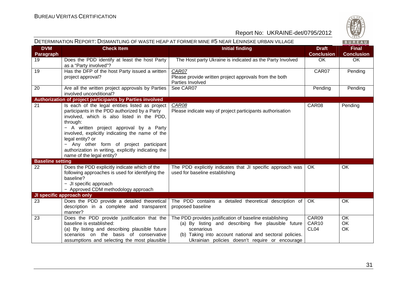

| DETERMINATION REPORT: DISMANTLING OF WASTE HEAP AT FORMER MINE #5 NEAR LENINSKE URBAN VILLAGE |                                                                                                                                                                                                                                                                                                                                                                                                             |                                                                                                                                                                                                                                            |                                    |                                   |
|-----------------------------------------------------------------------------------------------|-------------------------------------------------------------------------------------------------------------------------------------------------------------------------------------------------------------------------------------------------------------------------------------------------------------------------------------------------------------------------------------------------------------|--------------------------------------------------------------------------------------------------------------------------------------------------------------------------------------------------------------------------------------------|------------------------------------|-----------------------------------|
| <b>DVM</b><br>Paragraph                                                                       | <b>Check Item</b>                                                                                                                                                                                                                                                                                                                                                                                           | <b>Initial finding</b>                                                                                                                                                                                                                     | <b>Draft</b><br><b>Conclusion</b>  | <b>Final</b><br><b>Conclusion</b> |
| 19                                                                                            | Does the PDD identify at least the host Party<br>as a "Party involved"?                                                                                                                                                                                                                                                                                                                                     | The Host party Ukraine is indicated as the Party Involved                                                                                                                                                                                  | OK                                 | OK                                |
| 19                                                                                            | Has the DFP of the host Party issued a written<br>project approval?                                                                                                                                                                                                                                                                                                                                         | CAR07<br>Please provide written project approvals from the both<br>Parties Involved                                                                                                                                                        | CAR07                              | Pending                           |
| 20                                                                                            | Are all the written project approvals by Parties<br>involved unconditional?                                                                                                                                                                                                                                                                                                                                 | See CAR07                                                                                                                                                                                                                                  | Pending                            | Pending                           |
|                                                                                               | Authorization of project participants by Parties involved                                                                                                                                                                                                                                                                                                                                                   |                                                                                                                                                                                                                                            |                                    |                                   |
| 21                                                                                            | Is each of the legal entities listed as project<br>participants in the PDD authorized by a Party<br>involved, which is also listed in the PDD,<br>through:<br>- A written project approval by a Party<br>involved, explicitly indicating the name of the<br>legal entity? or<br>- Any other form of project participant<br>authorization in writing, explicitly indicating the<br>name of the legal entity? | CAR08<br>Please indicate way of project participants authorisation                                                                                                                                                                         | CAR08                              | Pending                           |
| <b>Baseline setting</b>                                                                       |                                                                                                                                                                                                                                                                                                                                                                                                             |                                                                                                                                                                                                                                            |                                    |                                   |
| 22                                                                                            | Does the PDD explicitly indicate which of the<br>following approaches is used for identifying the<br>baseline?<br>- JI specific approach<br>- Approved CDM methodology approach                                                                                                                                                                                                                             | The PDD explicitly indicates that JI specific approach was<br>used for baseline establishing                                                                                                                                               | OK.                                | OK                                |
|                                                                                               | JI specific approach only                                                                                                                                                                                                                                                                                                                                                                                   |                                                                                                                                                                                                                                            |                                    |                                   |
| 23                                                                                            | Does the PDD provide a detailed theoretical<br>description in a complete and transparent<br>manner?                                                                                                                                                                                                                                                                                                         | The PDD contains a detailed theoretical description of<br>proposed baseline                                                                                                                                                                | OK.                                | OK                                |
| 23                                                                                            | Does the PDD provide justification that the<br>baseline is established:<br>(a) By listing and describing plausible future<br>scenarios on the basis of conservative<br>assumptions and selecting the most plausible                                                                                                                                                                                         | The PDD provides justification of baseline establishing<br>(a) By listing and describing five plausible future<br>scenarious<br>(b) Taking into account national and sectoral policies.<br>Ukrainian policies doesn't require or encourage | CAR09<br>CAR10<br>CL <sub>04</sub> | <b>OK</b><br><b>OK</b><br>OK      |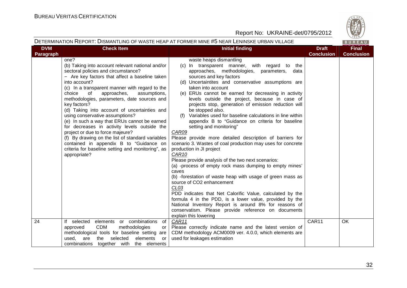

#### DETERMINATION REPORT: DISMANTLING OF WASTE HEAP AT FORMER MINE #5 NEAR LENINSKE URBAN VILLAGE

 $R \cup R$ 

| <b>DVM</b>       | <b>Check Item</b>                                                                                                                                                                                                                                                                                                                                                                                                                                                                                                                                                                                                                                                                                                             | <b>Initial finding</b>                                                                                                                                                                                                                                                                                                                                                                                                                                                                                                                                                                                                                                                                                                                                                                                                                                                                                                                                                                                                                                                                                                                                                                                                                    | <b>Draft</b>      | <b>Final</b>      |
|------------------|-------------------------------------------------------------------------------------------------------------------------------------------------------------------------------------------------------------------------------------------------------------------------------------------------------------------------------------------------------------------------------------------------------------------------------------------------------------------------------------------------------------------------------------------------------------------------------------------------------------------------------------------------------------------------------------------------------------------------------|-------------------------------------------------------------------------------------------------------------------------------------------------------------------------------------------------------------------------------------------------------------------------------------------------------------------------------------------------------------------------------------------------------------------------------------------------------------------------------------------------------------------------------------------------------------------------------------------------------------------------------------------------------------------------------------------------------------------------------------------------------------------------------------------------------------------------------------------------------------------------------------------------------------------------------------------------------------------------------------------------------------------------------------------------------------------------------------------------------------------------------------------------------------------------------------------------------------------------------------------|-------------------|-------------------|
| <b>Paragraph</b> |                                                                                                                                                                                                                                                                                                                                                                                                                                                                                                                                                                                                                                                                                                                               |                                                                                                                                                                                                                                                                                                                                                                                                                                                                                                                                                                                                                                                                                                                                                                                                                                                                                                                                                                                                                                                                                                                                                                                                                                           | <b>Conclusion</b> | <b>Conclusion</b> |
|                  | one?<br>(b) Taking into account relevant national and/or<br>sectoral policies and circumstance?<br>- Are key factors that affect a baseline taken<br>into account?<br>(c) In a transparent manner with regard to the<br>approaches,<br>choice<br>of<br>assumptions,<br>methodologies, parameters, date sources and<br>key factors?<br>(d) Taking into account of uncertainties and<br>using conservative assumptions?<br>(e) In such a way that ERUs cannot be earned<br>for decreases in activity levels outside the<br>project or due to force majeure?<br>(f) By drawing on the list of standard variables<br>contained in appendix B to "Guidance on<br>criteria for baseline setting and monitoring", as<br>appropriate? | waste heaps dismantling<br>(c) In transparent manner, with regard to the<br>approaches, methodologies, parameters, data<br>sources and key factors<br>(d) Uncertaintites and conservative assumptions are<br>taken into account<br>(e) ERUs cannot be earned for decreasing in activity<br>levels outside the project, because in case of<br>projects stop, generation of emission reduction will<br>be stopped also.<br>(f) Variables used for baseline calculations in line within<br>appendix B to "Guidance on criteria for baseline<br>setting and monitoring"<br>CAR09<br>Please provide more detailed description of barriers for<br>scenario 3. Wastes of coal production may uses for concrete<br>production in JI project<br>CAR <sub>10</sub><br>Please provide analysis of the two next scenarios:<br>(a) -process of empty rock mass dumping to empty mines'<br>caves<br>(b) -forestation of waste heap with usage of green mass as<br>source of CO2 enhancement<br>CL <sub>03</sub><br>PDD indicates that Net Calorific Value, calculated by the<br>formula 4 in the PDD, is a lower value, provided by the<br>National Inventory Report is around 8% for reasons of<br>conservatism. Please provide reference on documents |                   |                   |
| 24               | elements or combinations<br>If selected<br>of                                                                                                                                                                                                                                                                                                                                                                                                                                                                                                                                                                                                                                                                                 | explain this lowering<br>CAR11                                                                                                                                                                                                                                                                                                                                                                                                                                                                                                                                                                                                                                                                                                                                                                                                                                                                                                                                                                                                                                                                                                                                                                                                            | CAR11             | OK                |
|                  | <b>CDM</b><br>methodologies<br>approved<br>or                                                                                                                                                                                                                                                                                                                                                                                                                                                                                                                                                                                                                                                                                 | Please correctly indicate name and the latest version of                                                                                                                                                                                                                                                                                                                                                                                                                                                                                                                                                                                                                                                                                                                                                                                                                                                                                                                                                                                                                                                                                                                                                                                  |                   |                   |
|                  | methodological tools for baseline setting are                                                                                                                                                                                                                                                                                                                                                                                                                                                                                                                                                                                                                                                                                 | CDM methodology ACM0009 ver. 4.0.0, which elements are                                                                                                                                                                                                                                                                                                                                                                                                                                                                                                                                                                                                                                                                                                                                                                                                                                                                                                                                                                                                                                                                                                                                                                                    |                   |                   |
|                  | are<br>elements<br>used.<br>the<br>selected<br>or                                                                                                                                                                                                                                                                                                                                                                                                                                                                                                                                                                                                                                                                             | used for leakages estimation                                                                                                                                                                                                                                                                                                                                                                                                                                                                                                                                                                                                                                                                                                                                                                                                                                                                                                                                                                                                                                                                                                                                                                                                              |                   |                   |
|                  | combinations together with the elements                                                                                                                                                                                                                                                                                                                                                                                                                                                                                                                                                                                                                                                                                       |                                                                                                                                                                                                                                                                                                                                                                                                                                                                                                                                                                                                                                                                                                                                                                                                                                                                                                                                                                                                                                                                                                                                                                                                                                           |                   |                   |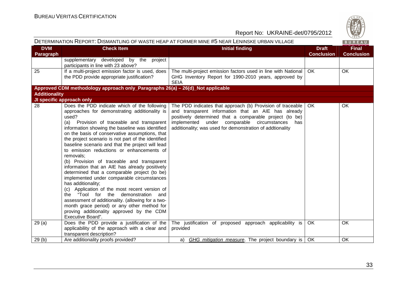

| <b>DVM</b><br><b>Check Item</b><br><b>Initial finding</b><br><b>Final</b><br><b>Draft</b><br>Paragraph<br><b>Conclusion</b><br><b>Conclusion</b><br>supplementary developed by the project<br>participants in line with 23 above?<br>If a multi-project emission factor is used, does<br>25<br>The multi-project emission factors used in line with National<br><b>OK</b><br>OK.<br>the PDD provide appropriate justification?<br>GHG Inventory Report for 1990-2010 years, approved by<br><b>SEIA</b><br>Approved CDM methodology approach only_Paragraphs 26(a) - 26(d)_Not applicable<br><b>Additionality</b><br>JI specific approach only<br>28<br>Does the PDD indicate which of the following<br>OK<br>The PDD indicates that approach (b) Provision of traceable $\vert$ OK<br>approaches for demonstrating additionality is<br>and transparent information that an AIE has already<br>positively determined that a comparable project (to be)<br>used?<br>implemented under comparable circumstances<br>(a) Provision of traceable and transparent<br>has<br>additionality; was used for demonstration of addtionality<br>information showing the baseline was identified<br>on the basis of conservative assumptions, that<br>the project scenario is not part of the identified<br>baseline scenario and that the project will lead<br>to emission reductions or enhancements of<br>removals:<br>(b) Provision of traceable and transparent<br>information that an AIE has already positively<br>determined that a comparable project (to be)<br>implemented under comparable circumstances<br>has additionality;<br>(c) Application of the most recent version of<br>the "Tool for the demonstration and<br>assessment of additionality. (allowing for a two-<br>month grace period) or any other method for<br>proving additionality approved by the CDM<br>Executive Board".<br>29(a)<br>Does the PDD provide a justification of the<br>The justification of proposed approach applicability is<br><b>OK</b><br>OK.<br>applicability of the approach with a clear and<br>provided<br>transparent description? | DETERMINATION REPORT: DISMANTLING OF WASTE HEAP AT FORMER MINE #5 NEAR LENINSKE URBAN VILLAGE |                                    |                                                            |  |    |
|----------------------------------------------------------------------------------------------------------------------------------------------------------------------------------------------------------------------------------------------------------------------------------------------------------------------------------------------------------------------------------------------------------------------------------------------------------------------------------------------------------------------------------------------------------------------------------------------------------------------------------------------------------------------------------------------------------------------------------------------------------------------------------------------------------------------------------------------------------------------------------------------------------------------------------------------------------------------------------------------------------------------------------------------------------------------------------------------------------------------------------------------------------------------------------------------------------------------------------------------------------------------------------------------------------------------------------------------------------------------------------------------------------------------------------------------------------------------------------------------------------------------------------------------------------------------------------------------------------------------------------------------------------------------------------------------------------------------------------------------------------------------------------------------------------------------------------------------------------------------------------------------------------------------------------------------------------------------------------------------------------------------------------------------------------------------------------------------------------------------------|-----------------------------------------------------------------------------------------------|------------------------------------|------------------------------------------------------------|--|----|
|                                                                                                                                                                                                                                                                                                                                                                                                                                                                                                                                                                                                                                                                                                                                                                                                                                                                                                                                                                                                                                                                                                                                                                                                                                                                                                                                                                                                                                                                                                                                                                                                                                                                                                                                                                                                                                                                                                                                                                                                                                                                                                                            |                                                                                               |                                    |                                                            |  |    |
|                                                                                                                                                                                                                                                                                                                                                                                                                                                                                                                                                                                                                                                                                                                                                                                                                                                                                                                                                                                                                                                                                                                                                                                                                                                                                                                                                                                                                                                                                                                                                                                                                                                                                                                                                                                                                                                                                                                                                                                                                                                                                                                            |                                                                                               |                                    |                                                            |  |    |
|                                                                                                                                                                                                                                                                                                                                                                                                                                                                                                                                                                                                                                                                                                                                                                                                                                                                                                                                                                                                                                                                                                                                                                                                                                                                                                                                                                                                                                                                                                                                                                                                                                                                                                                                                                                                                                                                                                                                                                                                                                                                                                                            |                                                                                               |                                    |                                                            |  |    |
|                                                                                                                                                                                                                                                                                                                                                                                                                                                                                                                                                                                                                                                                                                                                                                                                                                                                                                                                                                                                                                                                                                                                                                                                                                                                                                                                                                                                                                                                                                                                                                                                                                                                                                                                                                                                                                                                                                                                                                                                                                                                                                                            |                                                                                               |                                    |                                                            |  |    |
|                                                                                                                                                                                                                                                                                                                                                                                                                                                                                                                                                                                                                                                                                                                                                                                                                                                                                                                                                                                                                                                                                                                                                                                                                                                                                                                                                                                                                                                                                                                                                                                                                                                                                                                                                                                                                                                                                                                                                                                                                                                                                                                            |                                                                                               |                                    |                                                            |  |    |
|                                                                                                                                                                                                                                                                                                                                                                                                                                                                                                                                                                                                                                                                                                                                                                                                                                                                                                                                                                                                                                                                                                                                                                                                                                                                                                                                                                                                                                                                                                                                                                                                                                                                                                                                                                                                                                                                                                                                                                                                                                                                                                                            |                                                                                               |                                    |                                                            |  |    |
|                                                                                                                                                                                                                                                                                                                                                                                                                                                                                                                                                                                                                                                                                                                                                                                                                                                                                                                                                                                                                                                                                                                                                                                                                                                                                                                                                                                                                                                                                                                                                                                                                                                                                                                                                                                                                                                                                                                                                                                                                                                                                                                            |                                                                                               |                                    |                                                            |  |    |
|                                                                                                                                                                                                                                                                                                                                                                                                                                                                                                                                                                                                                                                                                                                                                                                                                                                                                                                                                                                                                                                                                                                                                                                                                                                                                                                                                                                                                                                                                                                                                                                                                                                                                                                                                                                                                                                                                                                                                                                                                                                                                                                            |                                                                                               |                                    |                                                            |  |    |
|                                                                                                                                                                                                                                                                                                                                                                                                                                                                                                                                                                                                                                                                                                                                                                                                                                                                                                                                                                                                                                                                                                                                                                                                                                                                                                                                                                                                                                                                                                                                                                                                                                                                                                                                                                                                                                                                                                                                                                                                                                                                                                                            | 29(b)                                                                                         | Are additionality proofs provided? | GHG mitigation measure. The project boundary is   OK<br>a) |  | OK |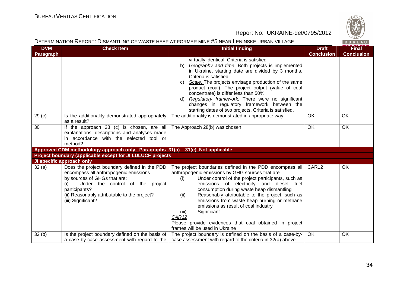

#### DETERMINATION REPORT: DISMANTLING OF WASTE HEAP AT FORMER MINE #5 NEAR LENINSKE URBAN VILLAGE

**BURE** 

| <b>DVM</b><br>Paragraph | <b>Check Item</b>                                                                                                                                                                                                                                       | <b>Initial finding</b>                                                                                                                                                                                                                                                                                                                                                                                                                                                                                                                                       | <b>Draft</b><br><b>Conclusion</b> | <b>Final</b><br><b>Conclusion</b> |
|-------------------------|---------------------------------------------------------------------------------------------------------------------------------------------------------------------------------------------------------------------------------------------------------|--------------------------------------------------------------------------------------------------------------------------------------------------------------------------------------------------------------------------------------------------------------------------------------------------------------------------------------------------------------------------------------------------------------------------------------------------------------------------------------------------------------------------------------------------------------|-----------------------------------|-----------------------------------|
|                         |                                                                                                                                                                                                                                                         | virtually identical. Criteria is satisfied<br>Geography and time. Both projects is implemented<br>b)<br>in Ukraine, starting date are divided by 3 months.<br>Criteria is satisfied<br>Scale. The projects envisage production of the same<br>C)<br>product (coal). The project output (value of coal<br>concentrate) is differ less than 50%<br>d) Regulatory framework. There were no significant<br>changes in regulatory framework between the<br>starting dates of two projects. Criteria is satisfied.                                                 |                                   |                                   |
| 29(c)                   | Is the additionality demonstrated appropriately<br>as a result?                                                                                                                                                                                         | The additionality is demonstrated in appropriate way                                                                                                                                                                                                                                                                                                                                                                                                                                                                                                         | OK                                | OK                                |
| 30                      | If the approach 28 (c) is chosen, are all<br>explanations, descriptions and analyses made<br>in accordance with the selected tool or<br>method?                                                                                                         | The Approach 28(b) was chosen                                                                                                                                                                                                                                                                                                                                                                                                                                                                                                                                | OK                                | OK                                |
|                         | Approved CDM methodology approach only_ Paragraphs 31(a) - 31(e)_Not applicable                                                                                                                                                                         |                                                                                                                                                                                                                                                                                                                                                                                                                                                                                                                                                              |                                   |                                   |
|                         | Project boundary (applicable except for JI LULUCF projects                                                                                                                                                                                              |                                                                                                                                                                                                                                                                                                                                                                                                                                                                                                                                                              |                                   |                                   |
|                         | JI specific approach only                                                                                                                                                                                                                               |                                                                                                                                                                                                                                                                                                                                                                                                                                                                                                                                                              |                                   |                                   |
| 32(a)                   | Does the project boundary defined in the PDD<br>encompass all anthropogenic emissions<br>by sources of GHGs that are:<br>Under the control of the project<br>(i)<br>participants?<br>(ii) Reasonably attributable to the project?<br>(iii) Significant? | The project boundaries defined in the PDD encompass all<br>anthropogenic emissions by GHG sources that are<br>Under control of the project participants, such as<br>(i)<br>emissions of electricity and diesel fuel<br>consumption during waste heap dismantling<br>Reasonably attributable to the project, such as<br>(ii)<br>emissions from waste heap burning or methane<br>emissions as result of coal industry<br>Significant<br>(iii)<br>CAR <sub>12</sub><br>Please provide evidences that coal obtained in project<br>frames will be used in Ukraine | CAR12                             | OK                                |
| 32(b)                   | Is the project boundary defined on the basis of<br>a case-by-case assessment with regard to the                                                                                                                                                         | The project boundary is defined on the basis of a case-by-<br>case assessment with regard to the criteria in 32(a) above                                                                                                                                                                                                                                                                                                                                                                                                                                     | OK                                | OK                                |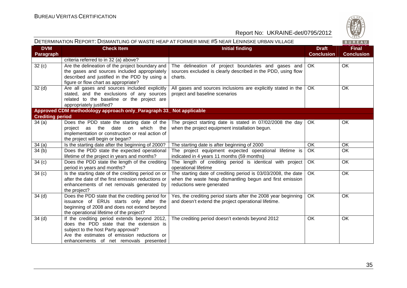

| DETERMINATION REPORT: DISMANTLING OF WASTE HEAP AT FORMER MINE #5 NEAR LENINSKE URBAN VILLAGE<br>BUREAU |                                                                                                                                                                                                                          |                                                                                                                                                        |                                   |                                   |
|---------------------------------------------------------------------------------------------------------|--------------------------------------------------------------------------------------------------------------------------------------------------------------------------------------------------------------------------|--------------------------------------------------------------------------------------------------------------------------------------------------------|-----------------------------------|-----------------------------------|
| <b>DVM</b><br><b>Paragraph</b>                                                                          | <b>Check Item</b>                                                                                                                                                                                                        | <b>Initial finding</b>                                                                                                                                 | <b>Draft</b><br><b>Conclusion</b> | <b>Final</b><br><b>Conclusion</b> |
|                                                                                                         | criteria referred to in 32 (a) above?                                                                                                                                                                                    |                                                                                                                                                        |                                   |                                   |
| 32(c)                                                                                                   | Are the delineation of the project boundary and<br>the gases and sources included appropriately<br>described and justified in the PDD by using a<br>figure or flow chart as appropriate?                                 | The delineation of project boundaries and gases and<br>sources excluded is clearly described in the PDD, using flow<br>charts.                         | OK                                | <b>OK</b>                         |
| 32 <sub>(d)</sub>                                                                                       | Are all gases and sources included explicitly<br>stated, and the exclusions of any sources<br>related to the baseline or the project are<br>appropriately justified?                                                     | All gases and sources inclusions are explicitly stated in the<br>project and baseline scenarios                                                        | <b>OK</b>                         | <b>OK</b>                         |
|                                                                                                         | Approved CDM methodology approach only_Paragraph 33_ Not applicable                                                                                                                                                      |                                                                                                                                                        |                                   |                                   |
| <b>Crediting period</b>                                                                                 |                                                                                                                                                                                                                          |                                                                                                                                                        |                                   |                                   |
| 34(a)                                                                                                   | Does the PDD state the starting date of the<br>date<br>which the<br>the<br>on<br>project as<br>implementation or construction or real action of<br>the project will begin or began?                                      | The project starting date is stated in 07/02/2008 the day<br>when the project equipment installation begun.                                            | OK.                               | OK                                |
| 34(a)                                                                                                   | Is the starting date after the beginning of 2000?                                                                                                                                                                        | The starting date is after beginning of 2000                                                                                                           | <b>OK</b>                         | OK                                |
| 34(b)                                                                                                   | Does the PDD state the expected operational<br>lifetime of the project in years and months?                                                                                                                              | The project equipment expected operational lifetime is<br>indicated in 4 years 11 months (59 months)                                                   | <b>OK</b>                         | <b>OK</b>                         |
| 34 <sub>(c)</sub>                                                                                       | Does the PDD state the length of the crediting<br>period in years and months?                                                                                                                                            | The length of crediting period is identical with project<br>operational lifetime                                                                       | <b>OK</b>                         | <b>OK</b>                         |
| 34(c)                                                                                                   | Is the starting date of the crediting period on or<br>after the date of the first emission reductions or<br>enhancements of net removals generated by<br>the project?                                                    | The starting date of crediting period is 03/03/2008, the date<br>when the waste heap dismantling begun and first emission<br>reductions were generated | <b>OK</b>                         | $\overline{OK}$                   |
| 34(d)                                                                                                   | Does the PDD state that the crediting period for<br>issuance of ERUs starts only after the<br>beginning of 2008 and does not extend beyond<br>the operational lifetime of the project?                                   | Yes, the crediting period starts after the 2008 year beginning<br>and doesn't extend the project operational lifetime.                                 | <b>OK</b>                         | <b>OK</b>                         |
| 34(d)                                                                                                   | If the crediting period extends beyond 2012,<br>does the PDD state that the extension is<br>subject to the host Party approval?<br>Are the estimates of emission reductions or<br>enhancements of net removals presented | The crediting period doesn't extends beyond 2012                                                                                                       | <b>OK</b>                         | OK                                |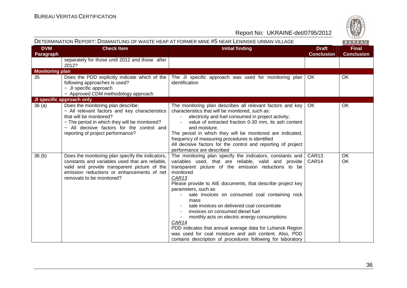

| DETERMINATION REPORT: DISMANTLING OF WASTE HEAP AT FORMER MINE #5 NEAR LENINSKE URBAN VILLAGE |                                                                                                                                                                                                                                                     |                                                                                                                                                                                                                                                                                                                                                                                                                                                                                                                                                                                                                                                                                 | BUREAU                            |                                   |
|-----------------------------------------------------------------------------------------------|-----------------------------------------------------------------------------------------------------------------------------------------------------------------------------------------------------------------------------------------------------|---------------------------------------------------------------------------------------------------------------------------------------------------------------------------------------------------------------------------------------------------------------------------------------------------------------------------------------------------------------------------------------------------------------------------------------------------------------------------------------------------------------------------------------------------------------------------------------------------------------------------------------------------------------------------------|-----------------------------------|-----------------------------------|
| <b>DVM</b><br>Paragraph                                                                       | <b>Check Item</b>                                                                                                                                                                                                                                   | <b>Initial finding</b>                                                                                                                                                                                                                                                                                                                                                                                                                                                                                                                                                                                                                                                          | <b>Draft</b><br><b>Conclusion</b> | <b>Final</b><br><b>Conclusion</b> |
|                                                                                               | separately for those until 2012 and those after<br>2012?                                                                                                                                                                                            |                                                                                                                                                                                                                                                                                                                                                                                                                                                                                                                                                                                                                                                                                 |                                   |                                   |
| <b>Monitoring plan</b>                                                                        |                                                                                                                                                                                                                                                     |                                                                                                                                                                                                                                                                                                                                                                                                                                                                                                                                                                                                                                                                                 |                                   |                                   |
| 35                                                                                            | Does the PDD explicitly indicate which of the<br>following approaches is used?<br>- JI specific approach<br>- Approved CDM methodology approach                                                                                                     | The JI specific approach was used for monitoring plan<br>identification                                                                                                                                                                                                                                                                                                                                                                                                                                                                                                                                                                                                         | OK.                               | <b>OK</b>                         |
|                                                                                               | JI specific approach only                                                                                                                                                                                                                           |                                                                                                                                                                                                                                                                                                                                                                                                                                                                                                                                                                                                                                                                                 |                                   |                                   |
| 36(a)                                                                                         | Does the monitoring plan describe:<br>- All relevant factors and key characteristics<br>that will be monitored?<br>- The period in which they will be monitored?<br>- All decisive factors for the control and<br>reporting of project performance? | The monitoring plan describes all relevant factors and key<br>characteristics that will be monitored, such as:<br>electricity and fuel consumed in project activity;<br>value of extracted fraction 0-30 mm, its ash content<br>and moisture.<br>The period in which they will be monitored are indicated,<br>frequency of measuring procedures is identified<br>All decisive factors for the control and reporting of project<br>performance are described                                                                                                                                                                                                                     | OK.                               | OK                                |
| 36 <sub>(b)</sub>                                                                             | Does the monitoring plan specify the indicators,<br>constants and variables used that are reliable,<br>valid and provide transparent picture of the<br>emission reductions or enhancements of net<br>removals to be monitored?                      | The monitoring plan specify the indicators, constants and<br>variables used, that are reliable, valid and provide<br>transparent picture of the emission reductions to be<br>monitored<br>CAR13<br>Please provide to AIE documents, that describe project key<br>parameters, such as<br>sale invoices on consumed coal containing rock<br>mass<br>sale invoices on delivered coal concentrate<br>invoices on consumed diesel fuel<br>monthly acts on electric energy consumptions<br>CAR14<br>PDD indicates that annual average data for Luhansk Region<br>was used for coal moisture and ash content. Also, PDD<br>contains description of procedures following for laboratory | CAR13<br>CAR <sub>14</sub>        | <b>OK</b><br>OK                   |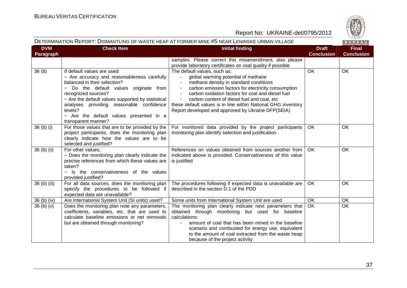

#### DETERMINATION REPORT: DISMANTLING OF WASTE HEAP AT FORMER MINE #5 NEAR LENINSKE URBAN VILLAGE

BUREAU

| <b>DVM</b><br>Paragraph | <b>Check Item</b>                                                                                                                                                                                                                                                                                                                                                   | <b>Initial finding</b>                                                                                                                                                                                                                                                                                                                                                                          | <b>Draft</b><br><b>Conclusion</b> | <b>Final</b><br><b>Conclusion</b> |
|-------------------------|---------------------------------------------------------------------------------------------------------------------------------------------------------------------------------------------------------------------------------------------------------------------------------------------------------------------------------------------------------------------|-------------------------------------------------------------------------------------------------------------------------------------------------------------------------------------------------------------------------------------------------------------------------------------------------------------------------------------------------------------------------------------------------|-----------------------------------|-----------------------------------|
|                         |                                                                                                                                                                                                                                                                                                                                                                     | samples. Please correct this misamendment, also please<br>provide laboratory certificates on coal quality if possible                                                                                                                                                                                                                                                                           |                                   |                                   |
| 36 <sub>(b)</sub>       | If default values are used:<br>- Are accuracy and reasonableness carefully<br>balanced in their selection?<br>Do the default values originate from<br>$\equiv$<br>recognized sources?<br>- Are the default values supported by statistical<br>analyses providing reasonable confidence<br>levels?<br>- Are the default values presented in a<br>transparent manner? | The default values, such as:<br>global warming potential of methane<br>methane density in standard conditions<br>carbon emission factors for electricity consumption<br>carbon oxidation factors for coal and diesel fuel<br>carbon content of diesel fuel and coal, etc<br>these default values is in line within National GHG inventory<br>Report developed and approved by Ukraine DFP(SEIA) | OK                                | OK                                |
| 36 (b) (i)              | For those values that are to be provided by the<br>project participants, does the monitoring plan<br>clearly indicate how the values are to be<br>selected and justified?                                                                                                                                                                                           | For monitored data provided by the project participants<br>monitoring plan identify selection and justification                                                                                                                                                                                                                                                                                 | <b>OK</b>                         | OK                                |
| 36 (b) (ii)             | For other values,<br>- Does the monitoring plan clearly indicate the<br>precise references from which these values are<br>taken?<br>- Is the conservativeness of the values<br>provided justified?                                                                                                                                                                  | References on values obtained from sources another from<br>indicated above is provided. Conservativeness of this value<br>is justified                                                                                                                                                                                                                                                          | <b>OK</b>                         | OK                                |
| 36 (b) (iii)            | For all data sources, does the monitoring plan<br>specify the procedures to be followed if<br>expected data are unavailable?                                                                                                                                                                                                                                        | The procedures following if expected data is unavailable are<br>described in the section D.1 of the PDD                                                                                                                                                                                                                                                                                         | <b>OK</b>                         | <b>OK</b>                         |
| $36(b)$ (iv)            | Are International System Unit (SI units) used?                                                                                                                                                                                                                                                                                                                      | Some units from International System Unit are used                                                                                                                                                                                                                                                                                                                                              | OK                                | $\overline{OK}$                   |
| 36(b)(v)                | Does the monitoring plan note any parameters,<br>coefficients, variables, etc. that are used to<br>calculate baseline emissions or net removals<br>but are obtained through monitoring?                                                                                                                                                                             | The monitoring plan clearly indicate next parameters that<br>obtained through monitoring but used for baseline<br>calculations:<br>amount of coal that has been mined in the baseline<br>scenario and combusted for energy use, equivalent<br>to the amount of coal extracted from the waste heap<br>because of the project activity                                                            | OK                                | $\overline{OK}$                   |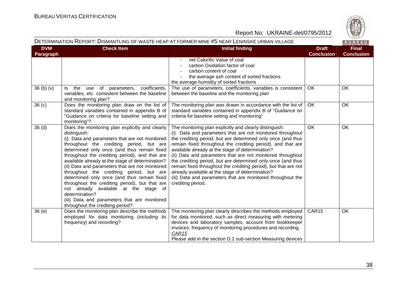

#### DETERMINATION REPORT: DISMANTLING OF WASTE HEAP AT FORMER MINE #5 NEAR LENINSKE URBAN VILLAGE

BUREAU

| <b>DVM</b><br>Paragraph | <b>Check Item</b>                                                                                                                                                                                                                                                                                                                                                                                                                                                                                                                                                                                                                                                 | <b>Initial finding</b>                                                                                                                                                                                                                                                                                                                                                                                                                                                                                                                                                                                                                           | <b>Draft</b><br><b>Conclusion</b> | <b>Final</b><br><b>Conclusion</b> |
|-------------------------|-------------------------------------------------------------------------------------------------------------------------------------------------------------------------------------------------------------------------------------------------------------------------------------------------------------------------------------------------------------------------------------------------------------------------------------------------------------------------------------------------------------------------------------------------------------------------------------------------------------------------------------------------------------------|--------------------------------------------------------------------------------------------------------------------------------------------------------------------------------------------------------------------------------------------------------------------------------------------------------------------------------------------------------------------------------------------------------------------------------------------------------------------------------------------------------------------------------------------------------------------------------------------------------------------------------------------------|-----------------------------------|-----------------------------------|
|                         |                                                                                                                                                                                                                                                                                                                                                                                                                                                                                                                                                                                                                                                                   | net Calorific Value of coal<br>carbon Oxidation factor of coal<br>carbon content of coal<br>the average ash content of sorted fractions<br>the average humidity of sorted fractions                                                                                                                                                                                                                                                                                                                                                                                                                                                              |                                   |                                   |
| 36(b)(v)                | coefficients,<br>the<br>use of<br>parameters,<br>ls.<br>variables, etc. consistent between the baseline<br>and monitoring plan?                                                                                                                                                                                                                                                                                                                                                                                                                                                                                                                                   | The use of parameters, coefficients, variables is consistent<br>between the baseline and the monitoring plan                                                                                                                                                                                                                                                                                                                                                                                                                                                                                                                                     | OK                                | OK                                |
| 36(c)                   | Does the monitoring plan draw on the list of<br>standard variables contained in appendix B of<br>"Guidance on criteria for baseline setting and<br>monitoring"?                                                                                                                                                                                                                                                                                                                                                                                                                                                                                                   | The monitoring plan was drawn in accordance with the list of<br>standard variables contained in appendix B of "Guidance on<br>criteria for baseline setting and monitoring"                                                                                                                                                                                                                                                                                                                                                                                                                                                                      | OK                                | OK                                |
| 36 <sub>(d)</sub>       | Does the monitoring plan explicitly and clearly<br>distinguish:<br>(i) Data and parameters that are not monitored<br>throughout the crediting period, but are<br>determined only once (and thus remain fixed<br>throughout the crediting period), and that are<br>available already at the stage of determination?<br>(ii) Data and parameters that are not monitored<br>throughout the crediting period, but are<br>determined only once (and thus remain fixed<br>throughout the crediting period), but that are<br>not already available at the stage of<br>determination?<br>(iii) Data and parameters that are monitored<br>throughout the crediting period? | The monitoring plan explicitly and clearly distinguish:<br>(i) Data and parameters that are not monitored throughout<br>the crediting period, but are determined only once (and thus<br>remain fixed throughout the crediting period), and that are<br>available already at the stage of determination?<br>(ii) Data and parameters that are not monitored throughout<br>the crediting period, but are determined only once (and thus<br>remain fixed throughout the crediting period), but that are not<br>already available at the stage of determination?<br>(iii) Data and parameters that are monitored throughout the<br>crediting period. | <b>OK</b>                         | OK                                |
| 36(e)                   | Does the monitoring plan describe the methods<br>employed for data monitoring (including its<br>frequency) and recording?                                                                                                                                                                                                                                                                                                                                                                                                                                                                                                                                         | The monitoring plan clearly describes the methods employed<br>for data monitored, such as direct measuring with metering<br>devices and laboratory samples, account from bookkeeper<br>invoices; frequency of monitoring procedures and recording.<br>CAR <sub>15</sub><br>Please add in the section D.1 sub-section Measuring devices                                                                                                                                                                                                                                                                                                           | CAR15                             | OK                                |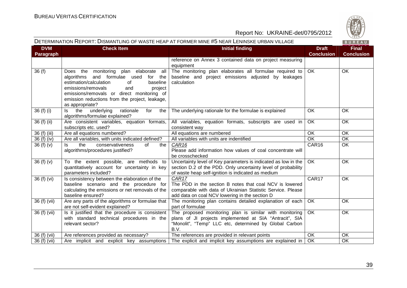

#### DETERMINATION REPORT: DISMANTLING OF WASTE HEAP AT FORMER MINE #5 NEAR LENINSKE URBAN VILLAGE

BUREAU

| <b>DVM</b>                | <b>Check Item</b>                                                                                                                                                                                                                                                                           | <b>Initial finding</b>                                                                                                                                                                | <b>Draft</b>      | <b>Final</b>      |
|---------------------------|---------------------------------------------------------------------------------------------------------------------------------------------------------------------------------------------------------------------------------------------------------------------------------------------|---------------------------------------------------------------------------------------------------------------------------------------------------------------------------------------|-------------------|-------------------|
| Paragraph                 |                                                                                                                                                                                                                                                                                             |                                                                                                                                                                                       | <b>Conclusion</b> | <b>Conclusion</b> |
|                           |                                                                                                                                                                                                                                                                                             | reference on Annex 3 contained data on project measuring<br>equipment                                                                                                                 |                   |                   |
| 36(f)                     | Does the monitoring plan elaborate<br>all<br>algorithms and formulae used<br>for the<br>estimation/calculation<br>of<br>baseline<br>emissions/removals<br>and<br>project<br>emissions/removals or direct monitoring of<br>emission reductions from the project, leakage,<br>as appropriate? | The monitoring plan elaborates all formulae required to<br>baseline and project emissions adjusted by leakages<br>calculation                                                         | OK                | OK                |
| 36 (f) (i)                | underlying<br>rationale<br>for<br>the<br>ls.<br>the<br>algorithms/formulae explained?                                                                                                                                                                                                       | The underlying rationale for the formulae is explained                                                                                                                                | OK                | OK                |
| $36(f)$ (ii)              | Are consistent variables, equation formats,<br>subscripts etc. used?                                                                                                                                                                                                                        | All variables, equation formats, subscripts are used in<br>consistent way                                                                                                             | OK                | OK                |
| 36 (f) (iii)              | Are all equations numbered?                                                                                                                                                                                                                                                                 | All equations are numbered                                                                                                                                                            | OK                | OK                |
| 36 (f) (iv)               | Are all variables, with units indicated defined?                                                                                                                                                                                                                                            | All variables with units are indentified                                                                                                                                              | OK                | OK                |
| 36(f)(v)                  | ls<br>the<br>conservativeness<br>of<br>the<br>algorithms/procedures justified?                                                                                                                                                                                                              | CAR16<br>Please add information how values of coal concentrate will<br>be crosschecked                                                                                                | CAR16             | OK                |
| 36(f)(v)                  | To the extent possible, are methods to<br>quantitatively account for uncertainty in key<br>parameters included?                                                                                                                                                                             | Uncertainty level of Key parameters is indicated as low in the<br>section D.2 of the PDD. Only uncertainty level of probability<br>of waste heap self-ignition is indicated as medium | OK                | OK                |
| 36 (f) (vi)               | Is consistency between the elaboration of the<br>baseline scenario and the procedure for<br>calculating the emissions or net removals of the<br>baseline ensured?                                                                                                                           | CAR17<br>The PDD in the section B notes that coal NCV is lowered<br>comparable with data of Ukrainian Statistic Service. Please<br>add data on coal NCV lowering in the section D     | CAR17             | OK                |
| 36 (f) (vii)              | Are any parts of the algorithms or formulae that<br>are not self-evident explained?                                                                                                                                                                                                         | The monitoring plan contains detailed explanation of each<br>part of formulae                                                                                                         | <b>OK</b>         | OK                |
| 36 (f) (vii)              | Is it justified that the procedure is consistent<br>with standard technical procedures in the<br>relevant sector?                                                                                                                                                                           | The proposed monitoring plan is similar with monitoring<br>plans of JI projects implemented at SIA "Antracit", SIA<br>"Monolit", "Temp" LLC etc, determined by Global Carbon<br>B.V.  | $\overline{OK}$   | OK                |
| $\overline{36}$ (f) (vii) | Are references provided as necessary?                                                                                                                                                                                                                                                       | The references are provided in relevant points                                                                                                                                        | <b>OK</b>         | OK                |
| 36 (f) (vii)              | Are implicit and explicit key assumptions                                                                                                                                                                                                                                                   | The explicit and implicit key assumptions are explained in                                                                                                                            | <b>OK</b>         | OK                |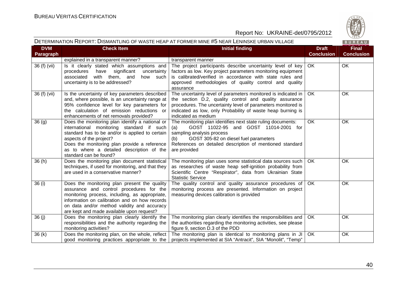

#### DETERMINATION REPORT: DISMANTLING OF WASTE HEAP AT FORMER MINE #5 NEAR LENINSKE URBAN VILLAGE

|  | ٠ |  |  |
|--|---|--|--|
|  |   |  |  |

| <b>DVM</b><br><b>Paragraph</b> | <b>Check Item</b>                                                                                                                                                                                                                                                                                 | <b>Initial finding</b>                                                                                                                                                                                                                                                        | <b>Draft</b><br><b>Conclusion</b> | <b>Final</b><br><b>Conclusion</b> |
|--------------------------------|---------------------------------------------------------------------------------------------------------------------------------------------------------------------------------------------------------------------------------------------------------------------------------------------------|-------------------------------------------------------------------------------------------------------------------------------------------------------------------------------------------------------------------------------------------------------------------------------|-----------------------------------|-----------------------------------|
|                                | explained in a transparent manner?                                                                                                                                                                                                                                                                | transparent manner                                                                                                                                                                                                                                                            |                                   |                                   |
| 36 (f) (vii)                   | Is it clearly stated which assumptions and<br>significant<br>uncertainty<br>procedures<br>have<br>associated<br>with<br>them, and<br>how such<br>uncertainty is to be addressed?                                                                                                                  | The project participants describe uncertainty level of key<br>factors as low. Key project parameters monitoring equipment<br>is calibrated/verified in accordance with state rules and<br>approved methodologies of quality control and quality<br>assurance                  | OK                                | OK                                |
| 36 (f) (vii)                   | Is the uncertainty of key parameters described<br>and, where possible, is an uncertainty range at<br>95% confidence level for key parameters for<br>the calculation of emission reductions or<br>enhancements of net removals provided?                                                           | The uncertainty level of parameters monitored is indicated in<br>the section D.2, quality control and quality assurance<br>procedures. The uncertainty level of parameters monitored is<br>indicated as low, only Probability of waste heap burning is<br>indicated as medium | <b>OK</b>                         | OK                                |
| 36(9)                          | Does the monitoring plan identify a national or<br>international monitoring standard if such<br>standard has to be and/or is applied to certain<br>aspects of the project?<br>Does the monitoring plan provide a reference<br>as to where a detailed description of the<br>standard can be found? | The monitoring plan identifies next state ruling documents:<br>GOST 11022-95 and GOST 11014-2001 for<br>(a)<br>sampling analysis process<br>GOST 305-82 on diesel fuel parameters<br>(b)<br>References on detailed description of mentioned standard<br>are provided          | OK                                | OK                                |
| 36(h)                          | Does the monitoring plan document statistical<br>techniques, if used for monitoring, and that they<br>are used in a conservative manner?                                                                                                                                                          | The monitoring plan uses some statistical data sources such<br>as researches of waste heap self-ignition probability from<br>Scientific Centre "Respirator", data from Ukrainian State<br><b>Statistic Service</b>                                                            | OK                                | <b>OK</b>                         |
| 36 (i)                         | Does the monitoring plan present the quality<br>assurance and control procedures for the<br>monitoring process, including, as appropriate,<br>information on calibration and on how records<br>on data and/or method validity and accuracy<br>are kept and made available upon request?           | The quality control and quality assurance procedures of  <br>monitoring process are presented. Information on project<br>measuring devices calibration is provided                                                                                                            | OK.                               | <b>OK</b>                         |
| 36(j)                          | Does the monitoring plan clearly identify the<br>responsibilities and the authority regarding the<br>monitoring activities?                                                                                                                                                                       | The monitoring plan clearly identifies the responsibilities and<br>the authorities regarding the monitoring activities, see please<br>figure 9, section D.3 of the PDD                                                                                                        | OK.                               | OK                                |
| 36(k)                          | Does the monitoring plan, on the whole, reflect<br>good monitoring practices appropriate to the                                                                                                                                                                                                   | The monitoring plan is identical to monitoring plans in JI<br>projects implemented at SIA "Antracit", SIA "Monolit", "Temp"                                                                                                                                                   | OK                                | OK                                |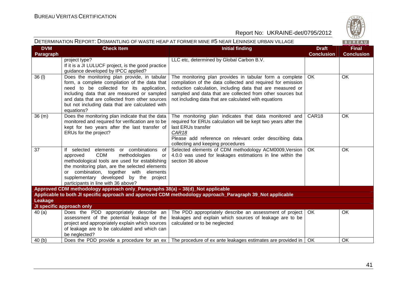

| DETERMINATION REPORT: DISMANTLING OF WASTE HEAP AT FORMER MINE #5 NEAR LENINSKE URBAN VILLAGE<br>BUREAU |                                                                                                                                                                                                                                                                                                                            |                                                                                                                                                                                                                                                                                                             |                                   |                                   |
|---------------------------------------------------------------------------------------------------------|----------------------------------------------------------------------------------------------------------------------------------------------------------------------------------------------------------------------------------------------------------------------------------------------------------------------------|-------------------------------------------------------------------------------------------------------------------------------------------------------------------------------------------------------------------------------------------------------------------------------------------------------------|-----------------------------------|-----------------------------------|
| <b>DVM</b><br><b>Paragraph</b>                                                                          | <b>Check Item</b>                                                                                                                                                                                                                                                                                                          | <b>Initial finding</b>                                                                                                                                                                                                                                                                                      | <b>Draft</b><br><b>Conclusion</b> | <b>Final</b><br><b>Conclusion</b> |
|                                                                                                         | project type?<br>If it is a JI LULUCF project, is the good practice<br>guidance developed by IPCC applied?                                                                                                                                                                                                                 | LLC etc, determined by Global Carbon B.V.                                                                                                                                                                                                                                                                   |                                   |                                   |
| 36(1)                                                                                                   | Does the monitoring plan provide, in tabular<br>form, a complete compilation of the data that<br>need to be collected for its application,<br>including data that are measured or sampled<br>and data that are collected from other sources<br>but not including data that are calculated with<br>equations?               | The monitoring plan provides in tabular form a complete<br>compilation of the data collected and required for emission<br>reduction calculation, including data that are measured or<br>sampled and data that are collected from other sources but<br>not including data that are calculated with equations | OK                                | OK                                |
| 36(m)                                                                                                   | Does the monitoring plan indicate that the data<br>monitored and required for verification are to be<br>kept for two years after the last transfer of<br>ERUs for the project?                                                                                                                                             | The monitoring plan indicates that data monitored and<br>required for ERUs calculation will be kept two years after the<br>last ERUs transfer<br>CAR <sub>18</sub><br>Please add reference on relevant order describing data<br>collecting and keeping procedures                                           | CAR18                             | OK                                |
| 37                                                                                                      | If selected elements or combinations<br>of<br>methodologies<br><b>CDM</b><br>approved<br>or<br>methodological tools are used for establishing<br>the monitoring plan, are the selected elements<br>or combination, together with elements<br>supplementary developed by the project<br>participants in line with 36 above? | Selected elements of CDM methodology ACM0009, Version<br>4.0.0 was used for leakages estimations in line within the<br>section 36 above                                                                                                                                                                     | OK                                | OK                                |
|                                                                                                         | Approved CDM methodology approach only_Paragraphs 38(a) - 38(d)_Not applicable                                                                                                                                                                                                                                             | Applicable to both JI specific approach and approved CDM methodology approach_Paragraph 39_Not applicable                                                                                                                                                                                                   |                                   |                                   |
| <b>Leakage</b>                                                                                          |                                                                                                                                                                                                                                                                                                                            |                                                                                                                                                                                                                                                                                                             |                                   |                                   |
|                                                                                                         | JI specific approach only                                                                                                                                                                                                                                                                                                  |                                                                                                                                                                                                                                                                                                             |                                   |                                   |
| 40(a)                                                                                                   | Does the PDD appropriately describe an<br>assessment of the potential leakage of the<br>project and appropriately explain which sources<br>of leakage are to be calculated and which can<br>be neglected?                                                                                                                  | The PDD appropriately describe an assessment of project   OK<br>leakages and explain which sources of leakage are to be<br>calculated or to be neglected                                                                                                                                                    |                                   | OK                                |
| 40(b)                                                                                                   | Does the PDD provide a procedure for an ex                                                                                                                                                                                                                                                                                 | The procedure of ex ante leakages estimates are provided in                                                                                                                                                                                                                                                 | OK                                | OK                                |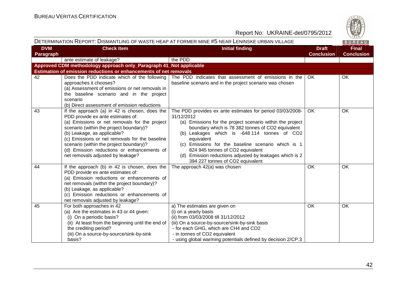

|                         |                                                                                                                                                                                                                                                                                                                                                                                               | DETERMINATION REPORT: DISMANTLING OF WASTE HEAP AT FORMER MINE #5 NEAR LENINSKE URBAN VILLAGE                                                                                                                                                                                                                                                                                                                                                    |                                   | BUREAU                            |
|-------------------------|-----------------------------------------------------------------------------------------------------------------------------------------------------------------------------------------------------------------------------------------------------------------------------------------------------------------------------------------------------------------------------------------------|--------------------------------------------------------------------------------------------------------------------------------------------------------------------------------------------------------------------------------------------------------------------------------------------------------------------------------------------------------------------------------------------------------------------------------------------------|-----------------------------------|-----------------------------------|
| <b>DVM</b><br>Paragraph | <b>Check Item</b>                                                                                                                                                                                                                                                                                                                                                                             | <b>Initial finding</b>                                                                                                                                                                                                                                                                                                                                                                                                                           | <b>Draft</b><br><b>Conclusion</b> | <b>Final</b><br><b>Conclusion</b> |
|                         | ante estimate of leakage?                                                                                                                                                                                                                                                                                                                                                                     | the PDD                                                                                                                                                                                                                                                                                                                                                                                                                                          |                                   |                                   |
|                         | Approved CDM methodology approach only_Paragraph 41_Not applicable                                                                                                                                                                                                                                                                                                                            |                                                                                                                                                                                                                                                                                                                                                                                                                                                  |                                   |                                   |
|                         | Estimation of emission reductions or enhancements of net removals                                                                                                                                                                                                                                                                                                                             |                                                                                                                                                                                                                                                                                                                                                                                                                                                  |                                   |                                   |
| 42                      | Does the PDD indicate which of the following<br>approaches it chooses?<br>(a) Assessment of emissions or net removals in<br>the baseline scenario and in the project<br>scenario<br>(b) Direct assessment of emission reductions                                                                                                                                                              | The PDD indicates that assessment of emissions in the<br>baseline scenario and in the project scenario was chosen                                                                                                                                                                                                                                                                                                                                | OK.                               | OK                                |
| 43                      | If the approach (a) in 42 is chosen, does the<br>PDD provide ex ante estimates of:<br>(a) Emissions or net removals for the project<br>scenario (within the project boundary)?<br>(b) Leakage, as applicable?<br>(c) Emissions or net removals for the baseline<br>scenario (within the project boundary)?<br>(d) Emission reductions or enhancements of<br>net removals adjusted by leakage? | The PDD provides ex ante estimates for period 03/03/2008-<br>31/12/2012<br>(a) Emissions for the project scenario within the project<br>boundary which is 78 382 tonnes of CO2 equivalent<br>(b) Leakages which is -648 114 tonnes of CO2<br>equivalent<br>(c) Emissions for the baseline scenario which is 1<br>824 945 tonnes of CO2 equivalent<br>(d) Emission reductions adjusted by leakages which is 2<br>394 227 tonnes of CO2 equivalent | OK.                               | OK                                |
| 44                      | If the approach (b) in 42 is chosen, does the<br>PDD provide ex ante estimates of:<br>(a) Emission reductions or enhancements of<br>net removals (within the project boundary)?<br>(b) Leakage, as applicable?<br>(c) Emission reductions or enhancements of<br>net removals adjusted by leakage?                                                                                             | The approach 42(a) was chosen                                                                                                                                                                                                                                                                                                                                                                                                                    | <b>OK</b>                         | <b>OK</b>                         |
| 45                      | For both approaches in 42<br>(a) Are the estimates in 43 or 44 given:<br>(i) On a periodic basis?<br>(ii) At least from the beginning until the end of<br>the crediting period?<br>(iii) On a source-by-source/sink-by-sink<br>basis?                                                                                                                                                         | a) The estimates are given on<br>(i) on a yearly basis<br>(ii) from 03/03/2008 till 31/12/2012<br>(iii) On a source-by-source/sink-by-sink basis<br>- for each GHG, which are CH4 and CO2<br>- in tonnes of CO2 equivalent<br>- using global warming potentials defined by decision 2/CP.3                                                                                                                                                       | <b>OK</b>                         | OK                                |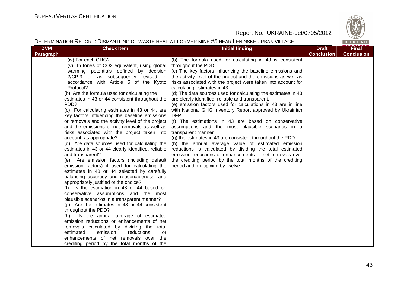

| DETERMINATION REPORT: DISMANTLING OF WASTE HEAP AT FORMER MINE #5 NEAR LENINSKE URBAN VILLAGE |  |
|-----------------------------------------------------------------------------------------------|--|
|-----------------------------------------------------------------------------------------------|--|

**RIIRFAIL** 

| <b>DVM</b><br>Paragraph | <b>Check Item</b>                                                                                                                                                                                                                                                                                                                                                                                                                                                                                                                                                                                                                                                                                                                                                                                                                                                                                                                                                                                                                                                                                                                                                                                                                                                                                                                                                                                                                                                     | <b>Initial finding</b>                                                                                                                                                                                                                                                                                                                                                                                                                                                                                                                                                                                                                                                                                                                                                                                                                                                                                                                                                                                                                                        | <b>Draft</b><br><b>Conclusion</b> | $\cdots$<br><b>Final</b><br><b>Conclusion</b> |
|-------------------------|-----------------------------------------------------------------------------------------------------------------------------------------------------------------------------------------------------------------------------------------------------------------------------------------------------------------------------------------------------------------------------------------------------------------------------------------------------------------------------------------------------------------------------------------------------------------------------------------------------------------------------------------------------------------------------------------------------------------------------------------------------------------------------------------------------------------------------------------------------------------------------------------------------------------------------------------------------------------------------------------------------------------------------------------------------------------------------------------------------------------------------------------------------------------------------------------------------------------------------------------------------------------------------------------------------------------------------------------------------------------------------------------------------------------------------------------------------------------------|---------------------------------------------------------------------------------------------------------------------------------------------------------------------------------------------------------------------------------------------------------------------------------------------------------------------------------------------------------------------------------------------------------------------------------------------------------------------------------------------------------------------------------------------------------------------------------------------------------------------------------------------------------------------------------------------------------------------------------------------------------------------------------------------------------------------------------------------------------------------------------------------------------------------------------------------------------------------------------------------------------------------------------------------------------------|-----------------------------------|-----------------------------------------------|
|                         | (iv) For each GHG?<br>(v) In tones of CO2 equivalent, using global<br>warming potentials defined by decision<br>2/CP.3 or as subsequently revised in<br>accordance with Article 5 of the Kyoto<br>Protocol?<br>(b) Are the formula used for calculating the<br>estimates in 43 or 44 consistent throughout the<br>PDD?<br>(c) For calculating estimates in 43 or 44, are<br>key factors influencing the baseline emissions<br>or removals and the activity level of the project<br>and the emissions or net removals as well as<br>risks associated with the project taken into<br>account, as appropriate?<br>(d) Are data sources used for calculating the<br>estimates in 43 or 44 clearly identified, reliable<br>and transparent?<br>(e) Are emission factors (including default<br>emission factors) if used for calculating the<br>estimates in 43 or 44 selected by carefully<br>balancing accuracy and reasonableness, and<br>appropriately justified of the choice?<br>(f) Is the estimation in 43 or 44 based on<br>conservative assumptions and the most<br>plausible scenarios in a transparent manner?<br>(g) Are the estimates in 43 or 44 consistent<br>throughout the PDD?<br>(h) Is the annual average of estimated<br>emission reductions or enhancements of net<br>removals calculated by dividing the total<br>emission<br>estimated<br>reductions<br>or<br>enhancements of net removals over the<br>crediting period by the total months of the | (b) The formula used for calculating in 43 is consistent<br>throughout the PDD<br>(c) The key factors influencing the baseline emissions and<br>the activity level of the project and the emissions as well as<br>risks associated with the project were taken into account for<br>calculating estimates in 43<br>(d) The data sources used for calculating the estimates in 43<br>are clearly identified, reliable and transparent.<br>(e) emission factors used for calculations in 43 are in line<br>with National GHG Inventory Report approved by Ukrainian<br><b>DFP</b><br>(f) The estimations in 43 are based on conservative<br>assumptions and the most plausible scenarios in a<br>transparent manner<br>(g) the estimates in 43 are consistent throughout the PDD<br>(h) the annual average value of estimated emission<br>reductions is calculated by dividing the total estimated<br>emission reductions or enhancements of net removals over<br>the crediting period by the total months of the crediting<br>period and multiplying by twelve. |                                   |                                               |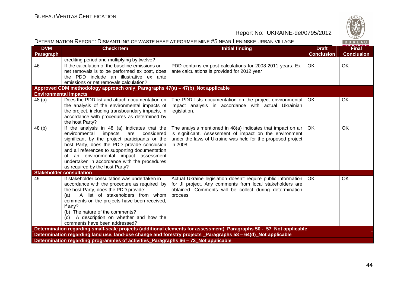

| DETERMINATION REPORT: DISMANTLING OF WASTE HEAP AT FORMER MINE #5 NEAR LENINSKE URBAN VILLAGE<br>BUREAU |                                                                                                                                                                                                                                                                                                                                                                             |                                                                                                                                                                                                        |                                   |                                   |  |  |
|---------------------------------------------------------------------------------------------------------|-----------------------------------------------------------------------------------------------------------------------------------------------------------------------------------------------------------------------------------------------------------------------------------------------------------------------------------------------------------------------------|--------------------------------------------------------------------------------------------------------------------------------------------------------------------------------------------------------|-----------------------------------|-----------------------------------|--|--|
| <b>DVM</b><br>Paragraph                                                                                 | <b>Check Item</b>                                                                                                                                                                                                                                                                                                                                                           | <b>Initial finding</b>                                                                                                                                                                                 | <b>Draft</b><br><b>Conclusion</b> | <b>Final</b><br><b>Conclusion</b> |  |  |
|                                                                                                         | crediting period and multiplying by twelve?                                                                                                                                                                                                                                                                                                                                 |                                                                                                                                                                                                        |                                   |                                   |  |  |
| 46                                                                                                      | If the calculation of the baseline emissions or<br>net removals is to be performed ex post, does<br>the PDD include an illustrative ex ante<br>emissions or net removals calculation?                                                                                                                                                                                       | PDD contains ex-post calculations for 2008-2011 years. Ex-<br>ante calculations is provided for 2012 year                                                                                              | OK.                               | <b>OK</b>                         |  |  |
|                                                                                                         | Approved CDM methodology approach only_Paragraphs 47(a) – 47(b)_Not applicable                                                                                                                                                                                                                                                                                              |                                                                                                                                                                                                        |                                   |                                   |  |  |
| <b>Environmental impacts</b>                                                                            |                                                                                                                                                                                                                                                                                                                                                                             |                                                                                                                                                                                                        |                                   |                                   |  |  |
| 48(a)                                                                                                   | Does the PDD list and attach documentation on<br>the analysis of the environmental impacts of<br>the project, including transboundary impacts, in<br>accordance with procedures as determined by<br>the host Party?                                                                                                                                                         | The PDD lists documentation on the project environmental  <br>impact analysis in accordance with actual Ukrainian<br>legislation.                                                                      | OK.                               | OK.                               |  |  |
| 48 (b)                                                                                                  | If the analysis in 48 (a) indicates that the<br>environmental<br>impacts<br>considered<br>are<br>significant by the project participants or the<br>host Party, does the PDD provide conclusion<br>and all references to supporting documentation<br>of an environmental impact assessment<br>undertaken in accordance with the procedures<br>as required by the host Party? | The analysis mentioned in $48(a)$ indicates that impact on air  <br>is significant. Assessment of impact on the environment<br>under the laws of Ukraine was held for the proposed project<br>in 2008. | OK.                               | <b>OK</b>                         |  |  |
|                                                                                                         | <b>Stakeholder consultation</b>                                                                                                                                                                                                                                                                                                                                             |                                                                                                                                                                                                        |                                   |                                   |  |  |
| 49                                                                                                      | If stakeholder consultation was undertaken in<br>accordance with the procedure as required by<br>the host Party, does the PDD provide:<br>A list of stakeholders from whom<br>(a)<br>comments on the projects have been received,<br>if any?<br>(b) The nature of the comments?<br>(c) A description on whether and how the<br>comments have been addressed?                | Actual Ukraine legislation doesn't require public information<br>for JI project. Any comments from local stakeholders are<br>obtained. Comments will be collect during determination<br>process        | OK.                               | OK                                |  |  |
|                                                                                                         |                                                                                                                                                                                                                                                                                                                                                                             | Determination regarding small-scale projects (additional elements for assessment)_Paragraphs 50 - 57_Not applicable                                                                                    |                                   |                                   |  |  |
|                                                                                                         |                                                                                                                                                                                                                                                                                                                                                                             | Determination regarding land use, land-use change and forestry projects _Paragraphs 58 - 64(d)_Not applicable                                                                                          |                                   |                                   |  |  |
|                                                                                                         | Determination regarding programmes of activities_Paragraphs 66 - 73_Not applicable                                                                                                                                                                                                                                                                                          |                                                                                                                                                                                                        |                                   |                                   |  |  |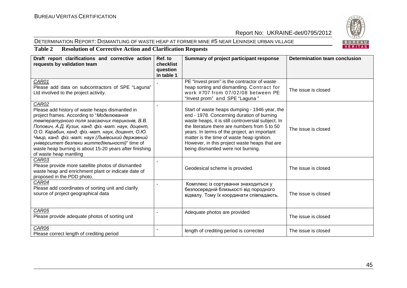#### DETERMINATION REPORT: DISMANTLING OF WASTE HEAP AT FORMER MINE #5 NEAR LENINSKE URBAN VILLAGE



### **Table 2 Resolution of Corrective Action and Clarification Requests**

| Draft report clarifications and corrective action<br>requests by validation team                                                                                                                                                                                                                                                                                                                                                                           | Ref. to<br>checklist<br>question<br>in table 1 | Summary of project participant response                                                                                                                                                                                                                                                                                                                                                 | Determination team conclusion |
|------------------------------------------------------------------------------------------------------------------------------------------------------------------------------------------------------------------------------------------------------------------------------------------------------------------------------------------------------------------------------------------------------------------------------------------------------------|------------------------------------------------|-----------------------------------------------------------------------------------------------------------------------------------------------------------------------------------------------------------------------------------------------------------------------------------------------------------------------------------------------------------------------------------------|-------------------------------|
| CAR01<br>Please add data on subcontractors of SPE "Laguna"<br>Ltd involved to the project activity.                                                                                                                                                                                                                                                                                                                                                        |                                                | PE "Invest prom" is the contractor of waste<br>heap sorting and dismantling. Contract for<br>work #707 from 07/02/08 between PE<br>"Invest prom" and SPE "Laguna"                                                                                                                                                                                                                       | The issue is closed           |
| CAR02<br>Please add history of waste heaps dismantled in<br>project frames. According to "Моделювання<br>температурного поля згасаючих териконів, В.В.<br>Попович, А.Д. Кузик, канд. фіз.-мат. наук, доцент,<br>О.О. Карабин, канд. фіз.-мат. наук, доцент, О.Ю.<br>Чмир, канд. фіз.-мат. наук (Львівський державний<br>університет безпеки життєдіяльності)" time of<br>waste heap burning is about 15-20 years after finishing<br>of waste heap mantling |                                                | Start of waste heaps dumping - 1946 year, the<br>end - 1978. Concerning duration of burning<br>waste heaps, it is still controversial subject. In<br>the literature there are numbers from 5 to 50<br>years. In terms of the project, an important<br>matter is the time of waste heap ignition.<br>However, in this project waste heaps that are<br>being dismantled were not burning. | The issue is closed           |
| CAR03<br>Please provide more satellite photos of dismantled<br>waste heap and enrichment plant or indicate date of<br>proposed in the PDD photo.                                                                                                                                                                                                                                                                                                           |                                                | Geodesical scheme is provided.                                                                                                                                                                                                                                                                                                                                                          | The issue is closed           |
| CAR04<br>Please add coordinates of sorting unit and clarify<br>source of project geographical data                                                                                                                                                                                                                                                                                                                                                         |                                                | Комплекс із сортування знаходиться у<br>безпосередній близькості від породного<br>відвалу. Тому їх координати співпадають.                                                                                                                                                                                                                                                              | The issue is closed           |
| CAR05<br>Please provide adequate photos of sorting unit                                                                                                                                                                                                                                                                                                                                                                                                    |                                                | Adequate photos are provided                                                                                                                                                                                                                                                                                                                                                            | The issue is closed           |
| CAR06<br>Please correct length of crediting period                                                                                                                                                                                                                                                                                                                                                                                                         |                                                | length of crediting period is corrected                                                                                                                                                                                                                                                                                                                                                 | The issue is closed           |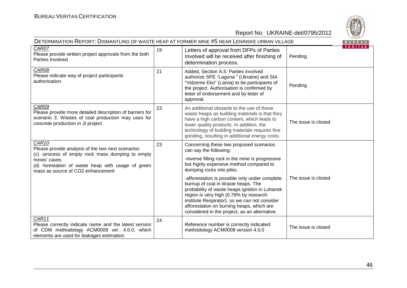

| DETERMINATION REPORT: DISMANTLING OF WASTE HEAP AT FORMER MINE #5 NEAR LENINSKE URBAN VILLAGE                                                                                                                                          |    |                                                                                                                                                                                                                                                                                                                                                                                                                                                                                                                                  |                     |                |
|----------------------------------------------------------------------------------------------------------------------------------------------------------------------------------------------------------------------------------------|----|----------------------------------------------------------------------------------------------------------------------------------------------------------------------------------------------------------------------------------------------------------------------------------------------------------------------------------------------------------------------------------------------------------------------------------------------------------------------------------------------------------------------------------|---------------------|----------------|
| $CARO\overline{7}$<br>Please provide written project approvals from the both<br>Parties Involved                                                                                                                                       | 19 | Letters of approval from DFPs of Parties<br>Involved will be received after finishing of<br>determination process.                                                                                                                                                                                                                                                                                                                                                                                                               | Pending             | <b>VERTIAS</b> |
| CAR08<br>Please indicate way of project participants<br>authorisation                                                                                                                                                                  | 21 | Added, Section A.5: Parties involved<br>authorize SPE "Laguna" (Ukraine) and SIA<br>"Vidzeme Eko" (Latvia) to be participants of<br>the project. Authorisation is confirmed by<br>letter of endorsement and by letter of<br>approval.                                                                                                                                                                                                                                                                                            | Pending             |                |
| CAR09<br>Please provide more detailed description of barriers for<br>scenario 3. Wastes of coal production may uses for<br>concrete production in JI project                                                                           | 23 | An additional obstacle to the use of these<br>waste heaps as building materials is that they<br>have a high carbon content, which leads to<br>lower quality products. In addition, the<br>technology of building materials requires fine<br>grinding, resulting in additional energy costs.                                                                                                                                                                                                                                      | The issue is closed |                |
| CAR <sub>10</sub><br>Please provide analysis of the two next scenarios:<br>(c) -process of empty rock mass dumping to empty<br>mines' caves<br>(d) -forestation of waste heap with usage of green<br>mass as source of CO2 enhancement | 23 | Concerning these two proposed scenarios<br>can say the following:<br>-inverse filling rock in the mine is progressive<br>but highly expensive method compared to<br>dumping rocks into piles.<br>-afforestation is possible only under complete<br>burnup of coal in Waste heaps. The<br>probability of waste heaps ignition in Luhansk<br>region is very high (0.78% by research<br>institute Respirator), so we can not consider<br>afforestation on burning heaps, which are<br>considered in the project, as an alternative. | The issue is closed |                |
| CAR11<br>Please correctly indicate name and the latest version<br>of CDM methodology ACM0009 ver. 4.0.0, which<br>elements are used for leakages estimation                                                                            | 24 | Reference number is correctly indicated:<br>methodology ACM0009 version 4.0.0                                                                                                                                                                                                                                                                                                                                                                                                                                                    | The issue is closed |                |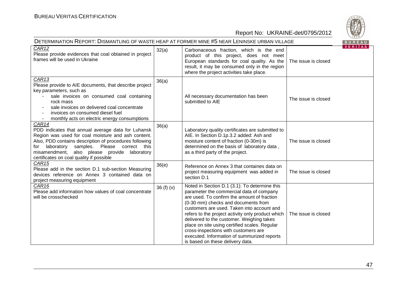

| DETERMINATION REPORT: DISMANTLING OF WASTE HEAP AT FORMER MINE #5 NEAR LENINSKE URBAN VILLAGE                                                                                                                                                                                                                                   |             |                                                                                                                                                                                                                                                                                                                                                                                                                                                                                                             |                     | BUREAU         |
|---------------------------------------------------------------------------------------------------------------------------------------------------------------------------------------------------------------------------------------------------------------------------------------------------------------------------------|-------------|-------------------------------------------------------------------------------------------------------------------------------------------------------------------------------------------------------------------------------------------------------------------------------------------------------------------------------------------------------------------------------------------------------------------------------------------------------------------------------------------------------------|---------------------|----------------|
| CAR12<br>Please provide evidences that coal obtained in project<br>frames will be used in Ukraine                                                                                                                                                                                                                               | 32(a)       | Carbonaceous fraction, which is the end<br>product of this project, does not meet<br>European standards for coal quality. As the<br>result, it may be consumed only in the region<br>where the project activities take place.                                                                                                                                                                                                                                                                               | The issue is closed | <b>VERITAS</b> |
| CAR <sub>13</sub><br>Please provide to AIE documents, that describe project<br>key parameters, such as<br>sale invoices on consumed coal containing<br>rock mass<br>sale invoices on delivered coal concentrate<br>invoices on consumed diesel fuel<br>monthly acts on electric energy consumptions                             | 36(a)       | All necessary documentation has been<br>submitted to AIE                                                                                                                                                                                                                                                                                                                                                                                                                                                    | The issue is closed |                |
| CAR14<br>PDD indicates that annual average data for Luhansk<br>Region was used for coal moisture and ash content.<br>Also, PDD contains description of procedures following<br>laboratory<br>samples. Please correct this<br>for<br>misamendment, also please provide<br>laboratory<br>certificates on coal quality if possible | 36(a)       | Laboratory quality certificates are submitted to<br>AIE. In Section D.1p.3.2 added: Ash and<br>moisture content of fraction (0-30m) is<br>determined on the basis of laboratory data,<br>as a third party of the project.                                                                                                                                                                                                                                                                                   | The issue is closed |                |
| CAR <sub>15</sub><br>Please add in the section D.1 sub-section Measuring<br>devices reference on Annex 3 contained data on<br>project measuring equipment                                                                                                                                                                       | 36(e)       | Reference on Annex 3 that containes data on<br>project measuring equipment was added in<br>section D.1                                                                                                                                                                                                                                                                                                                                                                                                      | The issue is closed |                |
| CAR <sub>16</sub><br>Please add information how values of coal concentrate<br>will be crosschecked                                                                                                                                                                                                                              | 36 $(f)(v)$ | Noted in Section D.1 (3.1): To determine this<br>parameter the commercial data of company<br>are used. To confirm the amount of fraction<br>(0-30 mm) checks and documents from<br>customers are used. Taken into account and<br>refers to the project activity only product which<br>delivered to the customer. Weighing takes<br>place on site using certified scales. Regular<br>cross-inspections with customers are<br>executed. Information of summurized reports<br>is based on these delivery data. | The issue is closed |                |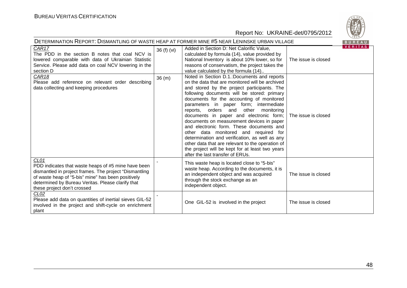

| DETERMINATION REPORT: DISMANTLING OF WASTE HEAP AT FORMER MINE #5 NEAR LENINSKE URBAN VILLAGE                                                                                                                                                                   |             |                                                                                                                                                                                                                                                                                                                                                                                                                                                                                                                                                                                                                                                                                                              |                     | BUREAU         |
|-----------------------------------------------------------------------------------------------------------------------------------------------------------------------------------------------------------------------------------------------------------------|-------------|--------------------------------------------------------------------------------------------------------------------------------------------------------------------------------------------------------------------------------------------------------------------------------------------------------------------------------------------------------------------------------------------------------------------------------------------------------------------------------------------------------------------------------------------------------------------------------------------------------------------------------------------------------------------------------------------------------------|---------------------|----------------|
| CAR17<br>The PDD in the section B notes that coal NCV is<br>lowered comparable with data of Ukrainian Statistic<br>Service. Please add data on coal NCV lowering in the<br>section D                                                                            | 36 (f) (vi) | Added in Section D: Net Calorific Value,<br>calculated by formula (14), value provided by<br>National Inventory is about 10% lower, so for<br>reasons of conservatism, the project takes the<br>value calculated by the formula (14)                                                                                                                                                                                                                                                                                                                                                                                                                                                                         | The issue is closed | <b>VERITAS</b> |
| CAR <sub>18</sub><br>Please add reference on relevant order describing<br>data collecting and keeping procedures                                                                                                                                                | 36(m)       | Noted in Section D.1.: Documents and reports<br>on the data that are monitored will be archived<br>and stored by the project participants. The<br>following documents will be stored: primary<br>documents for the accounting of monitored<br>parameters in paper form; intermediate<br>other<br>monitoring<br>reports, orders and<br>documents in paper and electronic form;<br>documents on measurement devices in paper<br>and electronic form. These documents and<br>other data monitored and required for<br>determination and verification, as well as any<br>other data that are relevant to the operation of<br>the project will be kept for at least two years<br>after the last transfer of ERUs. | The issue is closed |                |
| CL01<br>PDD indicates that waste heaps of #5 mine have been<br>dismantled in project frames. The project "Dismantling<br>of waste heap of "5-bis" mine" has been positively<br>determined by Bureau Veritas. Please clarify that<br>these project don't crossed |             | This waste heap is located close to "5-bis"<br>waste heap. According to the documents, it is<br>an independent object and was acquired<br>through the stock exchange as an<br>independent object.                                                                                                                                                                                                                                                                                                                                                                                                                                                                                                            | The issue is closed |                |
| CL <sub>02</sub><br>Please add data on quantities of inertial sieves GIL-52<br>involved in the project and shift-cycle on enrichment<br>plant                                                                                                                   |             | One GIL-52 is involved in the project                                                                                                                                                                                                                                                                                                                                                                                                                                                                                                                                                                                                                                                                        | The issue is closed |                |